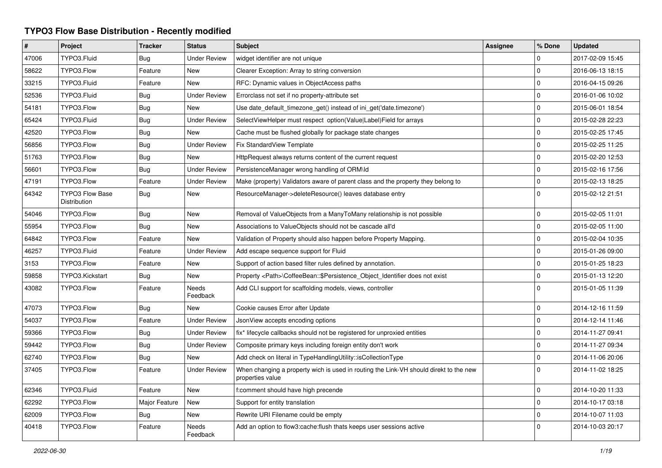## **TYPO3 Flow Base Distribution - Recently modified**

| $\#$  | Project                                | <b>Tracker</b> | <b>Status</b>            | <b>Subject</b>                                                                                            | <b>Assignee</b> | % Done      | <b>Updated</b>   |
|-------|----------------------------------------|----------------|--------------------------|-----------------------------------------------------------------------------------------------------------|-----------------|-------------|------------------|
| 47006 | TYPO3.Fluid                            | <b>Bug</b>     | <b>Under Review</b>      | widget identifier are not unique                                                                          |                 | 0           | 2017-02-09 15:45 |
| 58622 | TYPO3.Flow                             | Feature        | <b>New</b>               | Clearer Exception: Array to string conversion                                                             |                 | $\mathbf 0$ | 2016-06-13 18:15 |
| 33215 | TYPO3.Fluid                            | Feature        | <b>New</b>               | RFC: Dynamic values in ObjectAccess paths                                                                 |                 | $\mathbf 0$ | 2016-04-15 09:26 |
| 52536 | TYPO3.Fluid                            | <b>Bug</b>     | <b>Under Review</b>      | Errorclass not set if no property-attribute set                                                           |                 | $\mathbf 0$ | 2016-01-06 10:02 |
| 54181 | TYPO3.Flow                             | Bug            | <b>New</b>               | Use date default timezone get() instead of ini get('date.timezone')                                       |                 | $\mathbf 0$ | 2015-06-01 18:54 |
| 65424 | TYPO3.Fluid                            | <b>Bug</b>     | <b>Under Review</b>      | SelectViewHelper must respect option(Value Label)Field for arrays                                         |                 | 0           | 2015-02-28 22:23 |
| 42520 | TYPO3.Flow                             | Bug            | <b>New</b>               | Cache must be flushed globally for package state changes                                                  |                 | $\mathbf 0$ | 2015-02-25 17:45 |
| 56856 | TYPO3.Flow                             | <b>Bug</b>     | <b>Under Review</b>      | Fix StandardView Template                                                                                 |                 | $\mathbf 0$ | 2015-02-25 11:25 |
| 51763 | TYPO3.Flow                             | Bug            | <b>New</b>               | HttpRequest always returns content of the current request                                                 |                 | 0           | 2015-02-20 12:53 |
| 56601 | TYPO3.Flow                             | Bug            | <b>Under Review</b>      | PersistenceManager wrong handling of ORM\ld                                                               |                 | 0           | 2015-02-16 17:56 |
| 47191 | TYPO3.Flow                             | Feature        | <b>Under Review</b>      | Make (property) Validators aware of parent class and the property they belong to                          |                 | 0           | 2015-02-13 18:25 |
| 64342 | <b>TYPO3 Flow Base</b><br>Distribution | Bug            | <b>New</b>               | ResourceManager->deleteResource() leaves database entry                                                   |                 | $\Omega$    | 2015-02-12 21:51 |
| 54046 | TYPO3.Flow                             | Bug            | <b>New</b>               | Removal of ValueObjects from a ManyToMany relationship is not possible                                    |                 | 0           | 2015-02-05 11:01 |
| 55954 | TYPO3.Flow                             | <b>Bug</b>     | <b>New</b>               | Associations to ValueObjects should not be cascade all'd                                                  |                 | $\Omega$    | 2015-02-05 11:00 |
| 64842 | TYPO3.Flow                             | Feature        | New                      | Validation of Property should also happen before Property Mapping.                                        |                 | $\Omega$    | 2015-02-04 10:35 |
| 46257 | TYPO3.Fluid                            | Feature        | <b>Under Review</b>      | Add escape sequence support for Fluid                                                                     |                 | 0           | 2015-01-26 09:00 |
| 3153  | TYPO3.Flow                             | Feature        | <b>New</b>               | Support of action based filter rules defined by annotation.                                               |                 | $\Omega$    | 2015-01-25 18:23 |
| 59858 | TYPO3.Kickstart                        | <b>Bug</b>     | <b>New</b>               | Property <path>\CoffeeBean::\$Persistence_Object_Identifier does not exist</path>                         |                 | $\mathbf 0$ | 2015-01-13 12:20 |
| 43082 | TYPO3.Flow                             | Feature        | <b>Needs</b><br>Feedback | Add CLI support for scaffolding models, views, controller                                                 |                 | $\Omega$    | 2015-01-05 11:39 |
| 47073 | TYPO3.Flow                             | <b>Bug</b>     | <b>New</b>               | Cookie causes Error after Update                                                                          |                 | $\Omega$    | 2014-12-16 11:59 |
| 54037 | TYPO3.Flow                             | Feature        | <b>Under Review</b>      | JsonView accepts encoding options                                                                         |                 | $\mathbf 0$ | 2014-12-14 11:46 |
| 59366 | TYPO3.Flow                             | <b>Bug</b>     | <b>Under Review</b>      | fix* lifecycle callbacks should not be registered for unproxied entities                                  |                 | $\mathbf 0$ | 2014-11-27 09:41 |
| 59442 | TYPO3.Flow                             | <b>Bug</b>     | <b>Under Review</b>      | Composite primary keys including foreign entity don't work                                                |                 | $\mathbf 0$ | 2014-11-27 09:34 |
| 62740 | TYPO3.Flow                             | <b>Bug</b>     | New                      | Add check on literal in TypeHandlingUtility::isCollectionType                                             |                 | $\mathbf 0$ | 2014-11-06 20:06 |
| 37405 | TYPO3.Flow                             | Feature        | <b>Under Review</b>      | When changing a property wich is used in routing the Link-VH should direkt to the new<br>properties value |                 | $\Omega$    | 2014-11-02 18:25 |
| 62346 | TYPO3.Fluid                            | Feature        | <b>New</b>               | f:comment should have high precende                                                                       |                 | $\mathbf 0$ | 2014-10-20 11:33 |
| 62292 | TYPO3.Flow                             | Major Feature  | <b>New</b>               | Support for entity translation                                                                            |                 | $\mathbf 0$ | 2014-10-17 03:18 |
| 62009 | TYPO3.Flow                             | <b>Bug</b>     | <b>New</b>               | Rewrite URI Filename could be empty                                                                       |                 | $\mathbf 0$ | 2014-10-07 11:03 |
| 40418 | TYPO3.Flow                             | Feature        | Needs<br>Feedback        | Add an option to flow3:cache: flush thats keeps user sessions active                                      |                 | $\Omega$    | 2014-10-03 20:17 |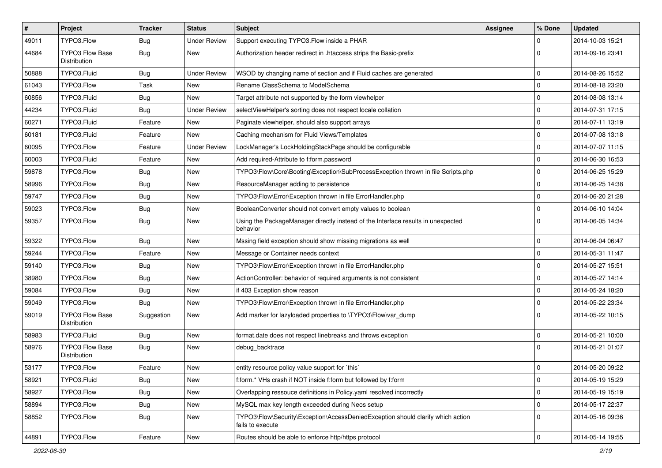| $\vert$ # | Project                                | <b>Tracker</b> | <b>Status</b>       | Subject                                                                                             | <b>Assignee</b> | % Done      | <b>Updated</b>   |
|-----------|----------------------------------------|----------------|---------------------|-----------------------------------------------------------------------------------------------------|-----------------|-------------|------------------|
| 49011     | TYPO3.Flow                             | <b>Bug</b>     | <b>Under Review</b> | Support executing TYPO3.Flow inside a PHAR                                                          |                 | $\mathbf 0$ | 2014-10-03 15:21 |
| 44684     | <b>TYPO3 Flow Base</b><br>Distribution | Bug            | New                 | Authorization header redirect in .htaccess strips the Basic-prefix                                  |                 | $\Omega$    | 2014-09-16 23:41 |
| 50888     | TYPO3.Fluid                            | Bug            | <b>Under Review</b> | WSOD by changing name of section and if Fluid caches are generated                                  |                 | $\mathbf 0$ | 2014-08-26 15:52 |
| 61043     | TYPO3.Flow                             | Task           | <b>New</b>          | Rename ClassSchema to ModelSchema                                                                   |                 | $\mathbf 0$ | 2014-08-18 23:20 |
| 60856     | TYPO3.Fluid                            | <b>Bug</b>     | New                 | Target attribute not supported by the form viewhelper                                               |                 | $\mathbf 0$ | 2014-08-08 13:14 |
| 44234     | TYPO3.Fluid                            | <b>Bug</b>     | <b>Under Review</b> | selectViewHelper's sorting does not respect locale collation                                        |                 | $\mathbf 0$ | 2014-07-31 17:15 |
| 60271     | TYPO3.Fluid                            | Feature        | New                 | Paginate viewhelper, should also support arrays                                                     |                 | $\mathbf 0$ | 2014-07-11 13:19 |
| 60181     | TYPO3.Fluid                            | Feature        | New                 | Caching mechanism for Fluid Views/Templates                                                         |                 | $\mathbf 0$ | 2014-07-08 13:18 |
| 60095     | TYPO3.Flow                             | Feature        | <b>Under Review</b> | LockManager's LockHoldingStackPage should be configurable                                           |                 | $\mathbf 0$ | 2014-07-07 11:15 |
| 60003     | TYPO3.Fluid                            | Feature        | <b>New</b>          | Add required-Attribute to f:form.password                                                           |                 | $\mathbf 0$ | 2014-06-30 16:53 |
| 59878     | TYPO3.Flow                             | <b>Bug</b>     | New                 | TYPO3\Flow\Core\Booting\Exception\SubProcessException thrown in file Scripts.php                    |                 | $\mathbf 0$ | 2014-06-25 15:29 |
| 58996     | TYPO3.Flow                             | Bug            | New                 | ResourceManager adding to persistence                                                               |                 | $\mathbf 0$ | 2014-06-25 14:38 |
| 59747     | TYPO3.Flow                             | Bug            | New                 | TYPO3\Flow\Error\Exception thrown in file ErrorHandler.php                                          |                 | $\mathbf 0$ | 2014-06-20 21:28 |
| 59023     | TYPO3.Flow                             | <b>Bug</b>     | New                 | BooleanConverter should not convert empty values to boolean                                         |                 | $\mathbf 0$ | 2014-06-10 14:04 |
| 59357     | TYPO3.Flow                             | Bug            | New                 | Using the PackageManager directly instead of the Interface results in unexpected<br>behavior        |                 | $\Omega$    | 2014-06-05 14:34 |
| 59322     | TYPO3.Flow                             | Bug            | <b>New</b>          | Mssing field exception should show missing migrations as well                                       |                 | $\mathbf 0$ | 2014-06-04 06:47 |
| 59244     | TYPO3.Flow                             | Feature        | New                 | Message or Container needs context                                                                  |                 | $\mathbf 0$ | 2014-05-31 11:47 |
| 59140     | TYPO3.Flow                             | <b>Bug</b>     | New                 | TYPO3\Flow\Error\Exception thrown in file ErrorHandler.php                                          |                 | $\mathbf 0$ | 2014-05-27 15:51 |
| 38980     | TYPO3.Flow                             | Bug            | New                 | ActionController: behavior of required arguments is not consistent                                  |                 | $\mathbf 0$ | 2014-05-27 14:14 |
| 59084     | TYPO3.Flow                             | Bug            | New                 | if 403 Exception show reason                                                                        |                 | $\mathbf 0$ | 2014-05-24 18:20 |
| 59049     | TYPO3.Flow                             | <b>Bug</b>     | New                 | TYPO3\Flow\Error\Exception thrown in file ErrorHandler.php                                          |                 | $\mathbf 0$ | 2014-05-22 23:34 |
| 59019     | <b>TYPO3 Flow Base</b><br>Distribution | Suggestion     | New                 | Add marker for lazyloaded properties to \TYPO3\Flow\var_dump                                        |                 | $\Omega$    | 2014-05-22 10:15 |
| 58983     | TYPO3.Fluid                            | <b>Bug</b>     | New                 | format.date does not respect linebreaks and throws exception                                        |                 | $\mathbf 0$ | 2014-05-21 10:00 |
| 58976     | <b>TYPO3 Flow Base</b><br>Distribution | Bug            | New                 | debug_backtrace                                                                                     |                 | $\Omega$    | 2014-05-21 01:07 |
| 53177     | TYPO3.Flow                             | Feature        | New                 | entity resource policy value support for `this`                                                     |                 | 0           | 2014-05-20 09:22 |
| 58921     | TYPO3.Fluid                            | Bug            | New                 | f:form.* VHs crash if NOT inside f:form but followed by f:form                                      |                 | $\mathsf 0$ | 2014-05-19 15:29 |
| 58927     | TYPO3.Flow                             | Bug            | New                 | Overlapping ressouce definitions in Policy.yaml resolved incorrectly                                |                 | $\mathbf 0$ | 2014-05-19 15:19 |
| 58894     | TYPO3.Flow                             | <b>Bug</b>     | New                 | MySQL max key length exceeded during Neos setup                                                     |                 | $\mathbf 0$ | 2014-05-17 22:37 |
| 58852     | TYPO3.Flow                             | <b>Bug</b>     | New                 | TYPO3\Flow\Security\Exception\AccessDeniedException should clarify which action<br>fails to execute |                 | $\mathbf 0$ | 2014-05-16 09:36 |
| 44891     | TYPO3.Flow                             | Feature        | New                 | Routes should be able to enforce http/https protocol                                                |                 | $\mathsf 0$ | 2014-05-14 19:55 |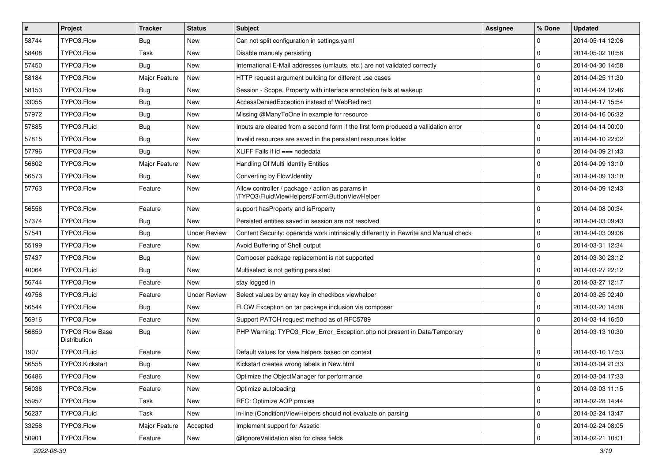| #     | Project                                | <b>Tracker</b> | <b>Status</b>       | Subject                                                                                            | <b>Assignee</b> | % Done         | <b>Updated</b>   |
|-------|----------------------------------------|----------------|---------------------|----------------------------------------------------------------------------------------------------|-----------------|----------------|------------------|
| 58744 | TYPO3.Flow                             | Bug            | <b>New</b>          | Can not split configuration in settings yaml                                                       |                 | 0              | 2014-05-14 12:06 |
| 58408 | TYPO3.Flow                             | Task           | <b>New</b>          | Disable manualy persisting                                                                         |                 | $\Omega$       | 2014-05-02 10:58 |
| 57450 | TYPO3.Flow                             | Bug            | New                 | International E-Mail addresses (umlauts, etc.) are not validated correctly                         |                 | $\overline{0}$ | 2014-04-30 14:58 |
| 58184 | TYPO3.Flow                             | Major Feature  | New                 | HTTP request argument building for different use cases                                             |                 | $\Omega$       | 2014-04-25 11:30 |
| 58153 | TYPO3.Flow                             | Bug            | <b>New</b>          | Session - Scope, Property with interface annotation fails at wakeup                                |                 | $\Omega$       | 2014-04-24 12:46 |
| 33055 | TYPO3.Flow                             | Bug            | New                 | AccessDeniedException instead of WebRedirect                                                       |                 | $\Omega$       | 2014-04-17 15:54 |
| 57972 | TYPO3.Flow                             | Bug            | <b>New</b>          | Missing @ManyToOne in example for resource                                                         |                 | $\Omega$       | 2014-04-16 06:32 |
| 57885 | TYPO3.Fluid                            | Bug            | New                 | Inputs are cleared from a second form if the first form produced a vallidation error               |                 | 0              | 2014-04-14 00:00 |
| 57815 | TYPO3.Flow                             | Bug            | New                 | Invalid resources are saved in the persistent resources folder                                     |                 | $\Omega$       | 2014-04-10 22:02 |
| 57796 | TYPO3.Flow                             | Bug            | <b>New</b>          | XLIFF Fails if $id == node data$                                                                   |                 | $\Omega$       | 2014-04-09 21:43 |
| 56602 | TYPO3.Flow                             | Major Feature  | <b>New</b>          | Handling Of Multi Identity Entities                                                                |                 | $\Omega$       | 2014-04-09 13:10 |
| 56573 | TYPO3.Flow                             | Bug            | <b>New</b>          | Converting by Flow\Identity                                                                        |                 | $\overline{0}$ | 2014-04-09 13:10 |
| 57763 | TYPO3.Flow                             | Feature        | New                 | Allow controller / package / action as params in<br>\TYPO3\Fluid\ViewHelpers\Form\ButtonViewHelper |                 | $\Omega$       | 2014-04-09 12:43 |
| 56556 | TYPO3.Flow                             | Feature        | <b>New</b>          | support hasProperty and isProperty                                                                 |                 | $\Omega$       | 2014-04-08 00:34 |
| 57374 | TYPO3.Flow                             | <b>Bug</b>     | New                 | Persisted entities saved in session are not resolved                                               |                 | 0              | 2014-04-03 09:43 |
| 57541 | TYPO3.Flow                             | Bug            | <b>Under Review</b> | Content Security: operands work intrinsically differently in Rewrite and Manual check              |                 | $\mathbf 0$    | 2014-04-03 09:06 |
| 55199 | TYPO3.Flow                             | Feature        | <b>New</b>          | Avoid Buffering of Shell output                                                                    |                 | $\Omega$       | 2014-03-31 12:34 |
| 57437 | TYPO3.Flow                             | <b>Bug</b>     | New                 | Composer package replacement is not supported                                                      |                 | $\Omega$       | 2014-03-30 23:12 |
| 40064 | TYPO3.Fluid                            | Bug            | <b>New</b>          | Multiselect is not getting persisted                                                               |                 | $\Omega$       | 2014-03-27 22:12 |
| 56744 | TYPO3.Flow                             | Feature        | New                 | stay logged in                                                                                     |                 | $\mathbf 0$    | 2014-03-27 12:17 |
| 49756 | TYPO3.Fluid                            | Feature        | <b>Under Review</b> | Select values by array key in checkbox viewhelper                                                  |                 | $\Omega$       | 2014-03-25 02:40 |
| 56544 | TYPO3.Flow                             | Bug            | <b>New</b>          | FLOW Exception on tar package inclusion via composer                                               |                 | $\mathbf 0$    | 2014-03-20 14:38 |
| 56916 | TYPO3.Flow                             | Feature        | <b>New</b>          | Support PATCH request method as of RFC5789                                                         |                 | $\Omega$       | 2014-03-14 16:50 |
| 56859 | <b>TYPO3 Flow Base</b><br>Distribution | Bug            | New                 | PHP Warning: TYPO3 Flow Error Exception.php not present in Data/Temporary                          |                 | $\Omega$       | 2014-03-13 10:30 |
| 1907  | TYPO3.Fluid                            | Feature        | <b>New</b>          | Default values for view helpers based on context                                                   |                 | $\Omega$       | 2014-03-10 17:53 |
| 56555 | TYPO3.Kickstart                        | Bug            | <b>New</b>          | Kickstart creates wrong labels in New.html                                                         |                 | $\Omega$       | 2014-03-04 21:33 |
| 56486 | TYPO3.Flow                             | Feature        | New                 | Optimize the ObjectManager for performance                                                         |                 | 0              | 2014-03-04 17:33 |
| 56036 | TYPO3.Flow                             | Feature        | New                 | Optimize autoloading                                                                               |                 | 0              | 2014-03-03 11:15 |
| 55957 | TYPO3.Flow                             | Task           | New                 | RFC: Optimize AOP proxies                                                                          |                 | 0              | 2014-02-28 14:44 |
| 56237 | TYPO3.Fluid                            | Task           | New                 | in-line (Condition) View Helpers should not evaluate on parsing                                    |                 | 0              | 2014-02-24 13:47 |
| 33258 | TYPO3.Flow                             | Major Feature  | Accepted            | Implement support for Assetic                                                                      |                 | 0              | 2014-02-24 08:05 |
| 50901 | TYPO3.Flow                             | Feature        | New                 | @IgnoreValidation also for class fields                                                            |                 | 0              | 2014-02-21 10:01 |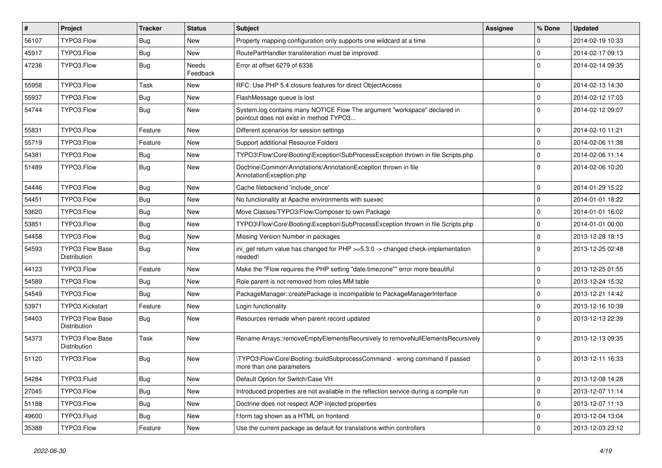| $\vert$ # | Project                                | <b>Tracker</b> | <b>Status</b>     | Subject                                                                                                              | <b>Assignee</b> | % Done      | <b>Updated</b>   |
|-----------|----------------------------------------|----------------|-------------------|----------------------------------------------------------------------------------------------------------------------|-----------------|-------------|------------------|
| 56107     | TYPO3.Flow                             | Bug            | New               | Property mapping configuration only supports one wildcard at a time                                                  |                 | 0           | 2014-02-19 10:33 |
| 45917     | TYPO3.Flow                             | Bug            | New               | RoutePartHandler transliteration must be improved                                                                    |                 | $\mathbf 0$ | 2014-02-17 09:13 |
| 47236     | TYPO3.Flow                             | Bug            | Needs<br>Feedback | Error at offset 6279 of 6338                                                                                         |                 | $\Omega$    | 2014-02-14 09:35 |
| 55958     | TYPO3.Flow                             | Task           | New               | RFC: Use PHP 5.4 closure features for direct ObjectAccess                                                            |                 | $\mathbf 0$ | 2014-02-13 14:30 |
| 55937     | TYPO3.Flow                             | <b>Bug</b>     | New               | FlashMessage queue is lost                                                                                           |                 | $\mathbf 0$ | 2014-02-12 17:03 |
| 54744     | TYPO3.Flow                             | Bug            | New               | System.log contains many NOTICE Flow The argument "workspace" declared in<br>pointcut does not exist in method TYPO3 |                 | $\Omega$    | 2014-02-12 09:07 |
| 55831     | TYPO3.Flow                             | Feature        | New               | Different scenarios for session settings                                                                             |                 | $\Omega$    | 2014-02-10 11:21 |
| 55719     | TYPO3.Flow                             | Feature        | New               | Support additional Resource Folders                                                                                  |                 | $\mathbf 0$ | 2014-02-06 11:38 |
| 54381     | TYPO3.Flow                             | Bug            | New               | TYPO3\Flow\Core\Booting\Exception\SubProcessException thrown in file Scripts.php                                     |                 | $\mathbf 0$ | 2014-02-06 11:14 |
| 51489     | TYPO3.Flow                             | Bug            | New               | Doctrine\Common\Annotations\AnnotationException thrown in file<br>AnnotationException.php                            |                 | $\Omega$    | 2014-02-06 10:20 |
| 54446     | TYPO3.Flow                             | Bug            | New               | Cache filebackend 'include once'                                                                                     |                 | $\Omega$    | 2014-01-29 15:22 |
| 54451     | TYPO3.Flow                             | Bug            | New               | No functionality at Apache environments with suexec                                                                  |                 | $\Omega$    | 2014-01-01 18:22 |
| 53620     | TYPO3.Flow                             | Bug            | New               | Move Classes/TYPO3/Flow/Composer to own Package                                                                      |                 | $\mathbf 0$ | 2014-01-01 16:02 |
| 53851     | TYPO3.Flow                             | Bug            | New               | TYPO3\Flow\Core\Booting\Exception\SubProcessException thrown in file Scripts.php                                     |                 | $\mathbf 0$ | 2014-01-01 00:00 |
| 54458     | TYPO3.Flow                             | Bug            | New               | Missing Version Number in packages                                                                                   |                 | $\mathbf 0$ | 2013-12-28 18:13 |
| 54593     | <b>TYPO3 Flow Base</b><br>Distribution | Bug            | New               | iniget return value has changed for $PHP \ge 5.3.0 \ge$ changed check-implementation<br>needed!                      |                 | $\Omega$    | 2013-12-25 02:48 |
| 44123     | TYPO3.Flow                             | Feature        | <b>New</b>        | Make the "Flow requires the PHP setting "date.timezone"" error more beautiful                                        |                 | $\mathbf 0$ | 2013-12-25 01:55 |
| 54589     | TYPO3.Flow                             | <b>Bug</b>     | New               | Role parent is not removed from roles MM table                                                                       |                 | $\mathbf 0$ | 2013-12-24 15:32 |
| 54549     | TYPO3.Flow                             | <b>Bug</b>     | New               | PackageManager::createPackage is incompatible to PackageManagerInterface                                             |                 | $\mathbf 0$ | 2013-12-21 14:42 |
| 53971     | TYPO3.Kickstart                        | Feature        | New               | Login functionality                                                                                                  |                 | $\mathbf 0$ | 2013-12-16 10:39 |
| 54403     | <b>TYPO3 Flow Base</b><br>Distribution | <b>Bug</b>     | New               | Resources remade when parent record updated                                                                          |                 | $\Omega$    | 2013-12-13 22:39 |
| 54373     | <b>TYPO3 Flow Base</b><br>Distribution | Task           | <b>New</b>        | Rename Arrays::removeEmptyElementsRecursively to removeNullElementsRecursively                                       |                 | $\Omega$    | 2013-12-13 09:35 |
| 51120     | TYPO3.Flow                             | Bug            | <b>New</b>        | \TYPO3\Flow\Core\Booting::buildSubprocessCommand - wrong command if passed<br>more than one parameters               |                 | $\Omega$    | 2013-12-11 16:33 |
| 54284     | TYPO3.Fluid                            | <b>Bug</b>     | New               | Default Option for Switch/Case VH                                                                                    |                 | $\pmb{0}$   | 2013-12-08 14:28 |
| 27045     | TYPO3.Flow                             | <b>Bug</b>     | New               | Introduced properties are not available in the reflection service during a compile run                               |                 | $\mathbf 0$ | 2013-12-07 11:14 |
| 51188     | TYPO3.Flow                             | <b>Bug</b>     | New               | Doctrine does not respect AOP-injected properties                                                                    |                 | $\mathbf 0$ | 2013-12-07 11:13 |
| 49600     | TYPO3.Fluid                            | Bug            | New               | f:form tag shown as a HTML on frontend                                                                               |                 | 0           | 2013-12-04 13:04 |
| 35388     | TYPO3.Flow                             | Feature        | New               | Use the current package as default for translations within controllers                                               |                 | $\mathbf 0$ | 2013-12-03 23:12 |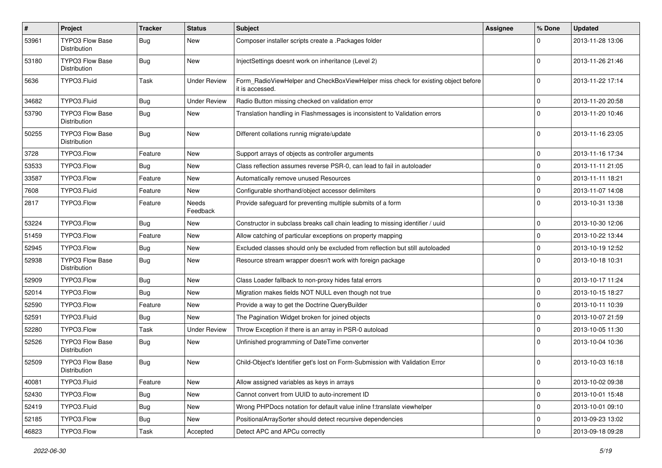| $\pmb{\#}$ | <b>Project</b>                         | <b>Tracker</b> | <b>Status</b>       | <b>Subject</b>                                                                                       | <b>Assignee</b> | % Done      | <b>Updated</b>   |
|------------|----------------------------------------|----------------|---------------------|------------------------------------------------------------------------------------------------------|-----------------|-------------|------------------|
| 53961      | <b>TYPO3 Flow Base</b><br>Distribution | Bug            | New                 | Composer installer scripts create a .Packages folder                                                 |                 | $\Omega$    | 2013-11-28 13:06 |
| 53180      | <b>TYPO3 Flow Base</b><br>Distribution | Bug            | New                 | InjectSettings doesnt work on inheritance (Level 2)                                                  |                 | $\Omega$    | 2013-11-26 21:46 |
| 5636       | TYPO3.Fluid                            | Task           | <b>Under Review</b> | Form_RadioViewHelper and CheckBoxViewHelper miss check for existing object before<br>it is accessed. |                 | $\Omega$    | 2013-11-22 17:14 |
| 34682      | TYPO3.Fluid                            | Bug            | <b>Under Review</b> | Radio Button missing checked on validation error                                                     |                 | $\mathbf 0$ | 2013-11-20 20:58 |
| 53790      | <b>TYPO3 Flow Base</b><br>Distribution | Bug            | New                 | Translation handling in Flashmessages is inconsistent to Validation errors                           |                 | $\Omega$    | 2013-11-20 10:46 |
| 50255      | <b>TYPO3 Flow Base</b><br>Distribution | Bug            | New                 | Different collations runnig migrate/update                                                           |                 | $\Omega$    | 2013-11-16 23:05 |
| 3728       | TYPO3.Flow                             | Feature        | <b>New</b>          | Support arrays of objects as controller arguments                                                    |                 | $\mathbf 0$ | 2013-11-16 17:34 |
| 53533      | TYPO3.Flow                             | <b>Bug</b>     | <b>New</b>          | Class reflection assumes reverse PSR-0, can lead to fail in autoloader                               |                 | $\mathbf 0$ | 2013-11-11 21:05 |
| 33587      | TYPO3.Flow                             | Feature        | New                 | Automatically remove unused Resources                                                                |                 | $\mathbf 0$ | 2013-11-11 18:21 |
| 7608       | TYPO3.Fluid                            | Feature        | New                 | Configurable shorthand/object accessor delimiters                                                    |                 | $\mathbf 0$ | 2013-11-07 14:08 |
| 2817       | TYPO3.Flow                             | Feature        | Needs<br>Feedback   | Provide safeguard for preventing multiple submits of a form                                          |                 | $\Omega$    | 2013-10-31 13:38 |
| 53224      | TYPO3.Flow                             | Bug            | <b>New</b>          | Constructor in subclass breaks call chain leading to missing identifier / uuid                       |                 | $\mathbf 0$ | 2013-10-30 12:06 |
| 51459      | TYPO3.Flow                             | Feature        | New                 | Allow catching of particular exceptions on property mapping                                          |                 | $\mathbf 0$ | 2013-10-22 13:44 |
| 52945      | TYPO3.Flow                             | Bug            | New                 | Excluded classes should only be excluded from reflection but still autoloaded                        |                 | $\mathbf 0$ | 2013-10-19 12:52 |
| 52938      | <b>TYPO3 Flow Base</b><br>Distribution | Bug            | New                 | Resource stream wrapper doesn't work with foreign package                                            |                 | $\Omega$    | 2013-10-18 10:31 |
| 52909      | TYPO3.Flow                             | Bug            | <b>New</b>          | Class Loader fallback to non-proxy hides fatal errors                                                |                 | $\mathbf 0$ | 2013-10-17 11:24 |
| 52014      | TYPO3.Flow                             | Bug            | New                 | Migration makes fields NOT NULL even though not true                                                 |                 | $\mathbf 0$ | 2013-10-15 18:27 |
| 52590      | TYPO3.Flow                             | Feature        | New                 | Provide a way to get the Doctrine QueryBuilder                                                       |                 | $\mathbf 0$ | 2013-10-11 10:39 |
| 52591      | TYPO3.Fluid                            | <b>Bug</b>     | <b>New</b>          | The Pagination Widget broken for joined objects                                                      |                 | $\mathbf 0$ | 2013-10-07 21:59 |
| 52280      | TYPO3.Flow                             | Task           | <b>Under Review</b> | Throw Exception if there is an array in PSR-0 autoload                                               |                 | $\mathbf 0$ | 2013-10-05 11:30 |
| 52526      | TYPO3 Flow Base<br>Distribution        | Bug            | New                 | Unfinished programming of DateTime converter                                                         |                 | $\Omega$    | 2013-10-04 10:36 |
| 52509      | <b>TYPO3 Flow Base</b><br>Distribution | <b>Bug</b>     | New                 | Child-Object's Identifier get's lost on Form-Submission with Validation Error                        |                 | $\Omega$    | 2013-10-03 16:18 |
| 40081      | TYPO3.Fluid                            | Feature        | New                 | Allow assigned variables as keys in arrays                                                           |                 | 0           | 2013-10-02 09:38 |
| 52430      | TYPO3.Flow                             | <b>Bug</b>     | New                 | Cannot convert from UUID to auto-increment ID                                                        |                 | $\pmb{0}$   | 2013-10-01 15:48 |
| 52419      | TYPO3.Fluid                            | <b>Bug</b>     | New                 | Wrong PHPDocs notation for default value inline f:translate viewhelper                               |                 | $\pmb{0}$   | 2013-10-01 09:10 |
| 52185      | TYPO3.Flow                             | Bug            | New                 | PositionalArraySorter should detect recursive dependencies                                           |                 | $\mathsf 0$ | 2013-09-23 13:02 |
| 46823      | TYPO3.Flow                             | Task           | Accepted            | Detect APC and APCu correctly                                                                        |                 | 0           | 2013-09-18 09:28 |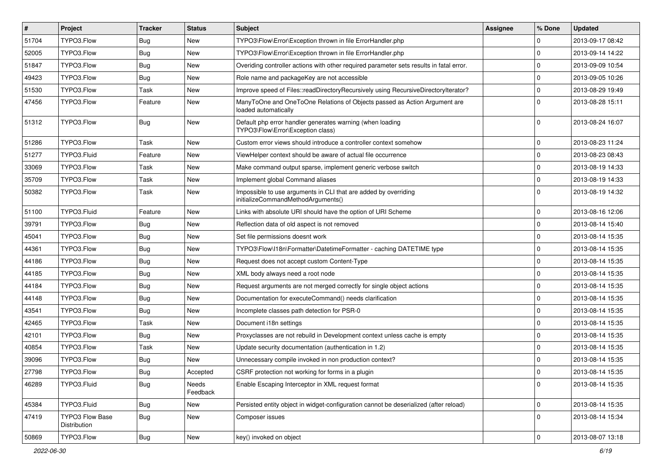| $\vert$ # | Project                         | <b>Tracker</b> | <b>Status</b>     | <b>Subject</b>                                                                                        | <b>Assignee</b> | % Done         | <b>Updated</b>   |
|-----------|---------------------------------|----------------|-------------------|-------------------------------------------------------------------------------------------------------|-----------------|----------------|------------------|
| 51704     | TYPO3.Flow                      | Bug            | New               | TYPO3\Flow\Error\Exception thrown in file ErrorHandler.php                                            |                 | $\Omega$       | 2013-09-17 08:42 |
| 52005     | TYPO3.Flow                      | Bug            | New               | TYPO3\Flow\Error\Exception thrown in file ErrorHandler.php                                            |                 | $\overline{0}$ | 2013-09-14 14:22 |
| 51847     | TYPO3.Flow                      | Bug            | New               | Overiding controller actions with other required parameter sets results in fatal error.               |                 | $\overline{0}$ | 2013-09-09 10:54 |
| 49423     | TYPO3.Flow                      | Bug            | New               | Role name and packageKey are not accessible                                                           |                 | $\Omega$       | 2013-09-05 10:26 |
| 51530     | TYPO3.Flow                      | Task           | <b>New</b>        | Improve speed of Files::readDirectoryRecursively using RecursiveDirectoryIterator?                    |                 | 0              | 2013-08-29 19:49 |
| 47456     | TYPO3.Flow                      | Feature        | New               | ManyToOne and OneToOne Relations of Objects passed as Action Argument are<br>loaded automatically     |                 | $\Omega$       | 2013-08-28 15:11 |
| 51312     | TYPO3.Flow                      | Bug            | <b>New</b>        | Default php error handler generates warning (when loading<br>TYPO3\Flow\Error\Exception class)        |                 | $\Omega$       | 2013-08-24 16:07 |
| 51286     | TYPO3.Flow                      | Task           | <b>New</b>        | Custom error views should introduce a controller context somehow                                      |                 | $\Omega$       | 2013-08-23 11:24 |
| 51277     | TYPO3.Fluid                     | Feature        | New               | ViewHelper context should be aware of actual file occurrence                                          |                 | 0              | 2013-08-23 08:43 |
| 33069     | TYPO3.Flow                      | Task           | <b>New</b>        | Make command output sparse, implement generic verbose switch                                          |                 | $\Omega$       | 2013-08-19 14:33 |
| 35709     | TYPO3.Flow                      | Task           | New               | Implement global Command aliases                                                                      |                 | $\Omega$       | 2013-08-19 14:33 |
| 50382     | TYPO3.Flow                      | Task           | New               | Impossible to use arguments in CLI that are added by overriding<br>initializeCommandMethodArguments() |                 | $\Omega$       | 2013-08-19 14:32 |
| 51100     | TYPO3.Fluid                     | Feature        | <b>New</b>        | Links with absolute URI should have the option of URI Scheme                                          |                 | 0              | 2013-08-16 12:06 |
| 39791     | TYPO3.Flow                      | Bug            | New               | Reflection data of old aspect is not removed                                                          |                 | $\Omega$       | 2013-08-14 15:40 |
| 45041     | TYPO3.Flow                      | <b>Bug</b>     | New               | Set file permissions doesnt work                                                                      |                 | $\Omega$       | 2013-08-14 15:35 |
| 44361     | TYPO3.Flow                      | Bug            | New               | TYPO3\Flow\I18n\Formatter\DatetimeFormatter - caching DATETIME type                                   |                 | l 0            | 2013-08-14 15:35 |
| 44186     | TYPO3.Flow                      | <b>Bug</b>     | <b>New</b>        | Request does not accept custom Content-Type                                                           |                 | $\Omega$       | 2013-08-14 15:35 |
| 44185     | TYPO3.Flow                      | Bug            | New               | XML body always need a root node                                                                      |                 | $\Omega$       | 2013-08-14 15:35 |
| 44184     | TYPO3.Flow                      | Bug            | New               | Request arguments are not merged correctly for single object actions                                  |                 | $\Omega$       | 2013-08-14 15:35 |
| 44148     | TYPO3.Flow                      | <b>Bug</b>     | New               | Documentation for executeCommand() needs clarification                                                |                 | l 0            | 2013-08-14 15:35 |
| 43541     | TYPO3.Flow                      | Bug            | New               | Incomplete classes path detection for PSR-0                                                           |                 | $\mathbf 0$    | 2013-08-14 15:35 |
| 42465     | TYPO3.Flow                      | Task           | New               | Document i18n settings                                                                                |                 | $\Omega$       | 2013-08-14 15:35 |
| 42101     | TYPO3.Flow                      | Bug            | New               | Proxyclasses are not rebuild in Development context unless cache is empty                             |                 | $\mathbf 0$    | 2013-08-14 15:35 |
| 40854     | TYPO3.Flow                      | Task           | <b>New</b>        | Update security documentation (authentication in 1.2)                                                 |                 | $\Omega$       | 2013-08-14 15:35 |
| 39096     | TYPO3.Flow                      | <b>Bug</b>     | New               | Unnecessary compile invoked in non production context?                                                |                 | $\Omega$       | 2013-08-14 15:35 |
| 27798     | TYPO3.Flow                      | Bug            | Accepted          | CSRF protection not working for forms in a plugin                                                     |                 | 0              | 2013-08-14 15:35 |
| 46289     | TYPO3.Fluid                     | Bug            | Needs<br>Feedback | Enable Escaping Interceptor in XML request format                                                     |                 | l 0            | 2013-08-14 15:35 |
| 45384     | TYPO3.Fluid                     | Bug            | New               | Persisted entity object in widget-configuration cannot be deserialized (after reload)                 |                 | 0              | 2013-08-14 15:35 |
| 47419     | TYPO3 Flow Base<br>Distribution | <b>Bug</b>     | New               | Composer issues                                                                                       |                 | 0              | 2013-08-14 15:34 |
| 50869     | TYPO3.Flow                      | <b>Bug</b>     | New               | key() invoked on object                                                                               |                 | 0              | 2013-08-07 13:18 |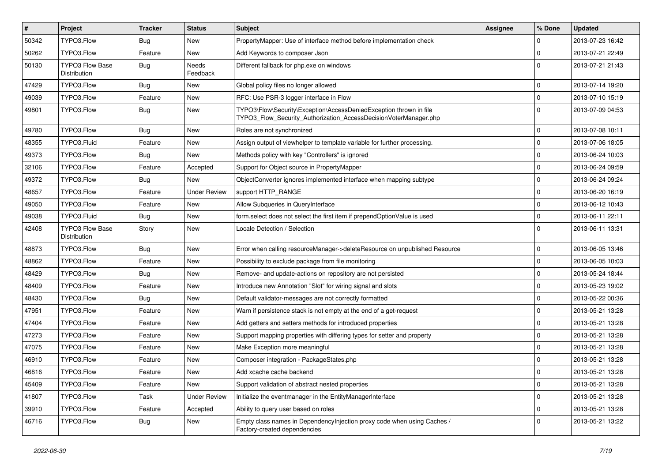| $\vert$ # | Project                                | <b>Tracker</b> | <b>Status</b>       | Subject                                                                                                                                | <b>Assignee</b> | % Done      | <b>Updated</b>   |
|-----------|----------------------------------------|----------------|---------------------|----------------------------------------------------------------------------------------------------------------------------------------|-----------------|-------------|------------------|
| 50342     | TYPO3.Flow                             | Bug            | New                 | PropertyMapper: Use of interface method before implementation check                                                                    |                 | $\mathbf 0$ | 2013-07-23 16:42 |
| 50262     | TYPO3.Flow                             | Feature        | New                 | Add Keywords to composer Json                                                                                                          |                 | $\mathbf 0$ | 2013-07-21 22:49 |
| 50130     | TYPO3 Flow Base<br>Distribution        | Bug            | Needs<br>Feedback   | Different fallback for php.exe on windows                                                                                              |                 | $\Omega$    | 2013-07-21 21:43 |
| 47429     | TYPO3.Flow                             | Bug            | New                 | Global policy files no longer allowed                                                                                                  |                 | $\mathbf 0$ | 2013-07-14 19:20 |
| 49039     | TYPO3.Flow                             | Feature        | New                 | RFC: Use PSR-3 logger interface in Flow                                                                                                |                 | $\mathbf 0$ | 2013-07-10 15:19 |
| 49801     | TYPO3.Flow                             | <b>Bug</b>     | New                 | TYPO3\Flow\Security\Exception\AccessDeniedException thrown in file<br>TYPO3_Flow_Security_Authorization_AccessDecisionVoterManager.php |                 | $\Omega$    | 2013-07-09 04:53 |
| 49780     | TYPO3.Flow                             | <b>Bug</b>     | <b>New</b>          | Roles are not synchronized                                                                                                             |                 | $\mathbf 0$ | 2013-07-08 10:11 |
| 48355     | TYPO3.Fluid                            | Feature        | New                 | Assign output of viewhelper to template variable for further processing.                                                               |                 | $\mathbf 0$ | 2013-07-06 18:05 |
| 49373     | TYPO3.Flow                             | Bug            | New                 | Methods policy with key "Controllers" is ignored                                                                                       |                 | $\mathbf 0$ | 2013-06-24 10:03 |
| 32106     | TYPO3.Flow                             | Feature        | Accepted            | Support for Object source in PropertyMapper                                                                                            |                 | $\mathbf 0$ | 2013-06-24 09:59 |
| 49372     | TYPO3.Flow                             | <b>Bug</b>     | New                 | ObjectConverter ignores implemented interface when mapping subtype                                                                     |                 | $\mathbf 0$ | 2013-06-24 09:24 |
| 48657     | TYPO3.Flow                             | Feature        | <b>Under Review</b> | support HTTP_RANGE                                                                                                                     |                 | $\mathbf 0$ | 2013-06-20 16:19 |
| 49050     | TYPO3.Flow                             | Feature        | New                 | Allow Subqueries in QueryInterface                                                                                                     |                 | $\mathbf 0$ | 2013-06-12 10:43 |
| 49038     | TYPO3.Fluid                            | Bug            | New                 | form select does not select the first item if prependOptionValue is used                                                               |                 | $\mathbf 0$ | 2013-06-11 22:11 |
| 42408     | <b>TYPO3 Flow Base</b><br>Distribution | Story          | New                 | Locale Detection / Selection                                                                                                           |                 | $\Omega$    | 2013-06-11 13:31 |
| 48873     | TYPO3.Flow                             | Bug            | New                 | Error when calling resourceManager->deleteResource on unpublished Resource                                                             |                 | $\mathbf 0$ | 2013-06-05 13:46 |
| 48862     | TYPO3.Flow                             | Feature        | New                 | Possibility to exclude package from file monitoring                                                                                    |                 | $\mathbf 0$ | 2013-06-05 10:03 |
| 48429     | TYPO3.Flow                             | Bug            | New                 | Remove- and update-actions on repository are not persisted                                                                             |                 | $\mathbf 0$ | 2013-05-24 18:44 |
| 48409     | TYPO3.Flow                             | Feature        | New                 | Introduce new Annotation "Slot" for wiring signal and slots                                                                            |                 | $\mathbf 0$ | 2013-05-23 19:02 |
| 48430     | TYPO3.Flow                             | <b>Bug</b>     | New                 | Default validator-messages are not correctly formatted                                                                                 |                 | $\mathbf 0$ | 2013-05-22 00:36 |
| 47951     | TYPO3.Flow                             | Feature        | New                 | Warn if persistence stack is not empty at the end of a get-request                                                                     |                 | $\mathbf 0$ | 2013-05-21 13:28 |
| 47404     | TYPO3.Flow                             | Feature        | New                 | Add getters and setters methods for introduced properties                                                                              |                 | $\mathbf 0$ | 2013-05-21 13:28 |
| 47273     | TYPO3.Flow                             | Feature        | New                 | Support mapping properties with differing types for setter and property                                                                |                 | $\mathbf 0$ | 2013-05-21 13:28 |
| 47075     | TYPO3.Flow                             | Feature        | New                 | Make Exception more meaningful                                                                                                         |                 | $\Omega$    | 2013-05-21 13:28 |
| 46910     | TYPO3.Flow                             | Feature        | New                 | Composer integration - PackageStates.php                                                                                               |                 | $\mathbf 0$ | 2013-05-21 13:28 |
| 46816     | TYPO3.Flow                             | Feature        | New                 | Add xcache cache backend                                                                                                               |                 | I٥          | 2013-05-21 13:28 |
| 45409     | TYPO3.Flow                             | Feature        | New                 | Support validation of abstract nested properties                                                                                       |                 | $\mathbf 0$ | 2013-05-21 13:28 |
| 41807     | TYPO3.Flow                             | Task           | <b>Under Review</b> | Initialize the eventmanager in the EntityManagerInterface                                                                              |                 | 0           | 2013-05-21 13:28 |
| 39910     | TYPO3.Flow                             | Feature        | Accepted            | Ability to query user based on roles                                                                                                   |                 | $\pmb{0}$   | 2013-05-21 13:28 |
| 46716     | TYPO3.Flow                             | Bug            | New                 | Empty class names in Dependencylnjection proxy code when using Caches /<br>Factory-created dependencies                                |                 | $\mathbf 0$ | 2013-05-21 13:22 |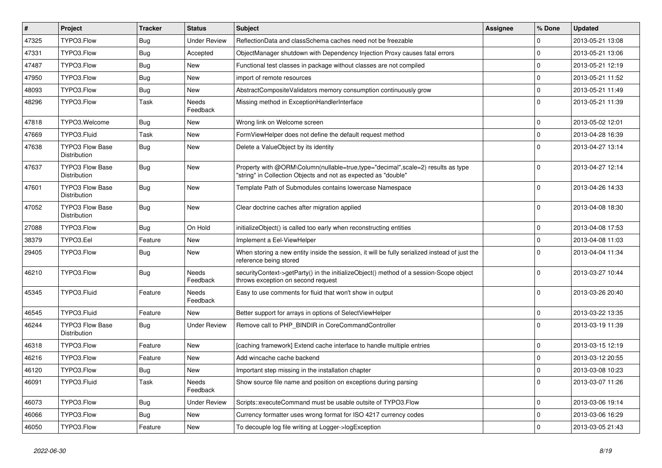| $\vert$ # | Project                                | <b>Tracker</b> | <b>Status</b>       | <b>Subject</b>                                                                                                                                    | <b>Assignee</b> | % Done         | <b>Updated</b>   |
|-----------|----------------------------------------|----------------|---------------------|---------------------------------------------------------------------------------------------------------------------------------------------------|-----------------|----------------|------------------|
| 47325     | TYPO3.Flow                             | <b>Bug</b>     | <b>Under Review</b> | ReflectionData and classSchema caches need not be freezable                                                                                       |                 | $\Omega$       | 2013-05-21 13:08 |
| 47331     | TYPO3.Flow                             | Bug            | Accepted            | ObjectManager shutdown with Dependency Injection Proxy causes fatal errors                                                                        |                 | $\Omega$       | 2013-05-21 13:06 |
| 47487     | TYPO3.Flow                             | Bug            | New                 | Functional test classes in package without classes are not compiled                                                                               |                 | $\overline{0}$ | 2013-05-21 12:19 |
| 47950     | TYPO3.Flow                             | <b>Bug</b>     | New                 | import of remote resources                                                                                                                        |                 | $\Omega$       | 2013-05-21 11:52 |
| 48093     | TYPO3.Flow                             | Bug            | <b>New</b>          | AbstractCompositeValidators memory consumption continuously grow                                                                                  |                 | $\mathbf 0$    | 2013-05-21 11:49 |
| 48296     | TYPO3.Flow                             | Task           | Needs<br>Feedback   | Missing method in ExceptionHandlerInterface                                                                                                       |                 | $\Omega$       | 2013-05-21 11:39 |
| 47818     | TYPO3.Welcome                          | Bug            | New                 | Wrong link on Welcome screen                                                                                                                      |                 | 0              | 2013-05-02 12:01 |
| 47669     | TYPO3.Fluid                            | Task           | New                 | FormViewHelper does not define the default request method                                                                                         |                 | $\Omega$       | 2013-04-28 16:39 |
| 47638     | <b>TYPO3 Flow Base</b><br>Distribution | Bug            | New                 | Delete a ValueObject by its identity                                                                                                              |                 | $\Omega$       | 2013-04-27 13:14 |
| 47637     | <b>TYPO3 Flow Base</b><br>Distribution | Bug            | New                 | Property with @ORM\Column(nullable=true,type="decimal",scale=2) results as type<br>"string" in Collection Objects and not as expected as "double" |                 | $\Omega$       | 2013-04-27 12:14 |
| 47601     | <b>TYPO3 Flow Base</b><br>Distribution | Bug            | New                 | Template Path of Submodules contains lowercase Namespace                                                                                          |                 | $\Omega$       | 2013-04-26 14:33 |
| 47052     | <b>TYPO3 Flow Base</b><br>Distribution | Bug            | <b>New</b>          | Clear doctrine caches after migration applied                                                                                                     |                 | $\Omega$       | 2013-04-08 18:30 |
| 27088     | TYPO3.Flow                             | <b>Bug</b>     | On Hold             | initializeObject() is called too early when reconstructing entities                                                                               |                 | $\Omega$       | 2013-04-08 17:53 |
| 38379     | TYPO3.Eel                              | Feature        | <b>New</b>          | Implement a Eel-ViewHelper                                                                                                                        |                 | $\mathbf 0$    | 2013-04-08 11:03 |
| 29405     | TYPO3.Flow                             | Bug            | New                 | When storing a new entity inside the session, it will be fully serialized instead of just the<br>reference being stored                           |                 | $\Omega$       | 2013-04-04 11:34 |
| 46210     | TYPO3.Flow                             | Bug            | Needs<br>Feedback   | securityContext->getParty() in the initializeObject() method of a session-Scope object<br>throws exception on second request                      |                 | $\Omega$       | 2013-03-27 10:44 |
| 45345     | TYPO3.Fluid                            | Feature        | Needs<br>Feedback   | Easy to use comments for fluid that won't show in output                                                                                          |                 | $\Omega$       | 2013-03-26 20:40 |
| 46545     | TYPO3.Fluid                            | Feature        | New                 | Better support for arrays in options of SelectViewHelper                                                                                          |                 | $\mathbf 0$    | 2013-03-22 13:35 |
| 46244     | <b>TYPO3 Flow Base</b><br>Distribution | Bug            | <b>Under Review</b> | Remove call to PHP_BINDIR in CoreCommandController                                                                                                |                 | $\Omega$       | 2013-03-19 11:39 |
| 46318     | TYPO3.Flow                             | Feature        | New                 | [caching framework] Extend cache interface to handle multiple entries                                                                             |                 | $\Omega$       | 2013-03-15 12:19 |
| 46216     | TYPO3.Flow                             | Feature        | New                 | Add wincache cache backend                                                                                                                        |                 | $\Omega$       | 2013-03-12 20:55 |
| 46120     | TYPO3.Flow                             | <b>Bug</b>     | New                 | Important step missing in the installation chapter                                                                                                |                 | l 0            | 2013-03-08 10:23 |
| 46091     | TYPO3.Fluid                            | Task           | Needs<br>Feedback   | Show source file name and position on exceptions during parsing                                                                                   |                 | 0              | 2013-03-07 11:26 |
| 46073     | TYPO3.Flow                             | <b>Bug</b>     | <b>Under Review</b> | Scripts::executeCommand must be usable outsite of TYPO3.Flow                                                                                      |                 | 0              | 2013-03-06 19:14 |
| 46066     | TYPO3.Flow                             | <b>Bug</b>     | New                 | Currency formatter uses wrong format for ISO 4217 currency codes                                                                                  |                 | 0              | 2013-03-06 16:29 |
| 46050     | TYPO3.Flow                             | Feature        | New                 | To decouple log file writing at Logger->logException                                                                                              |                 | 0              | 2013-03-05 21:43 |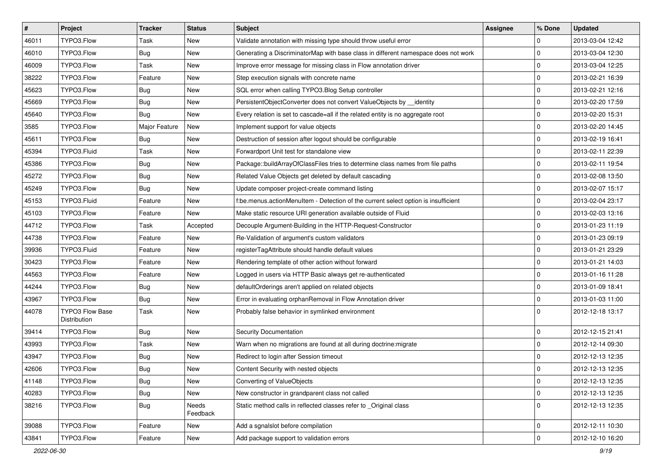| $\vert$ # | Project                                | <b>Tracker</b> | <b>Status</b>     | Subject                                                                            | <b>Assignee</b> | % Done              | <b>Updated</b>   |
|-----------|----------------------------------------|----------------|-------------------|------------------------------------------------------------------------------------|-----------------|---------------------|------------------|
| 46011     | TYPO3.Flow                             | Task           | New               | Validate annotation with missing type should throw useful error                    |                 | $\mathbf 0$         | 2013-03-04 12:42 |
| 46010     | TYPO3.Flow                             | <b>Bug</b>     | <b>New</b>        | Generating a DiscriminatorMap with base class in different namespace does not work |                 | $\mathbf 0$         | 2013-03-04 12:30 |
| 46009     | TYPO3.Flow                             | Task           | New               | Improve error message for missing class in Flow annotation driver                  |                 | $\mathbf 0$         | 2013-03-04 12:25 |
| 38222     | TYPO3.Flow                             | Feature        | New               | Step execution signals with concrete name                                          |                 | $\mathbf 0$         | 2013-02-21 16:39 |
| 45623     | TYPO3.Flow                             | Bug            | New               | SQL error when calling TYPO3. Blog Setup controller                                |                 | $\mathbf 0$         | 2013-02-21 12:16 |
| 45669     | TYPO3.Flow                             | <b>Bug</b>     | New               | PersistentObjectConverter does not convert ValueObjects by __ identity             |                 | $\pmb{0}$           | 2013-02-20 17:59 |
| 45640     | TYPO3.Flow                             | <b>Bug</b>     | New               | Every relation is set to cascade=all if the related entity is no aggregate root    |                 | $\mathbf 0$         | 2013-02-20 15:31 |
| 3585      | TYPO3.Flow                             | Major Feature  | New               | Implement support for value objects                                                |                 | $\mathbf 0$         | 2013-02-20 14:45 |
| 45611     | TYPO3.Flow                             | <b>Bug</b>     | New               | Destruction of session after logout should be configurable                         |                 | $\mathbf 0$         | 2013-02-19 16:41 |
| 45394     | TYPO3.Fluid                            | Task           | <b>New</b>        | Forwardport Unit test for standalone view                                          |                 | $\mathbf 0$         | 2013-02-11 22:39 |
| 45386     | TYPO3.Flow                             | <b>Bug</b>     | New               | Package::buildArrayOfClassFiles tries to determine class names from file paths     |                 | $\mathbf 0$         | 2013-02-11 19:54 |
| 45272     | TYPO3.Flow                             | <b>Bug</b>     | New               | Related Value Objects get deleted by default cascading                             |                 | $\mathbf 0$         | 2013-02-08 13:50 |
| 45249     | TYPO3.Flow                             | Bug            | New               | Update composer project-create command listing                                     |                 | $\mathbf 0$         | 2013-02-07 15:17 |
| 45153     | TYPO3.Fluid                            | Feature        | New               | f:be.menus.actionMenuItem - Detection of the current select option is insufficient |                 | $\mathbf 0$         | 2013-02-04 23:17 |
| 45103     | TYPO3.Flow                             | Feature        | New               | Make static resource URI generation available outside of Fluid                     |                 | $\mathbf 0$         | 2013-02-03 13:16 |
| 44712     | TYPO3.Flow                             | Task           | Accepted          | Decouple Argument-Building in the HTTP-Request-Constructor                         |                 | $\mathbf 0$         | 2013-01-23 11:19 |
| 44738     | TYPO3.Flow                             | Feature        | New               | Re-Validation of argument's custom validators                                      |                 | $\mathbf 0$         | 2013-01-23 09:19 |
| 39936     | TYPO3.Fluid                            | Feature        | New               | registerTagAttribute should handle default values                                  |                 | $\mathbf 0$         | 2013-01-21 23:29 |
| 30423     | TYPO3.Flow                             | Feature        | New               | Rendering template of other action without forward                                 |                 | $\mathbf 0$         | 2013-01-21 14:03 |
| 44563     | TYPO3.Flow                             | Feature        | New               | Logged in users via HTTP Basic always get re-authenticated                         |                 | $\mathbf 0$         | 2013-01-16 11:28 |
| 44244     | TYPO3.Flow                             | Bug            | New               | defaultOrderings aren't applied on related objects                                 |                 | $\mathbf 0$         | 2013-01-09 18:41 |
| 43967     | TYPO3.Flow                             | Bug            | New               | Error in evaluating orphanRemoval in Flow Annotation driver                        |                 | $\mathbf 0$         | 2013-01-03 11:00 |
| 44078     | <b>TYPO3 Flow Base</b><br>Distribution | Task           | New               | Probably false behavior in symlinked environment                                   |                 | $\Omega$            | 2012-12-18 13:17 |
| 39414     | TYPO3.Flow                             | Bug            | New               | Security Documentation                                                             |                 | $\mathbf 0$         | 2012-12-15 21:41 |
| 43993     | TYPO3.Flow                             | Task           | New               | Warn when no migrations are found at all during doctrine: migrate                  |                 | $\mathbf 0$         | 2012-12-14 09:30 |
| 43947     | TYPO3.Flow                             | <b>Bug</b>     | New               | Redirect to login after Session timeout                                            |                 | $\mathbf 0$         | 2012-12-13 12:35 |
| 42606     | TYPO3.Flow                             | Bug            | New               | Content Security with nested objects                                               |                 | $\mathbf 0$         | 2012-12-13 12:35 |
| 41148     | TYPO3.Flow                             | Bug            | New               | Converting of ValueObjects                                                         |                 | 0                   | 2012-12-13 12:35 |
| 40283     | TYPO3.Flow                             | <b>Bug</b>     | New               | New constructor in grandparent class not called                                    |                 | $\pmb{0}$           | 2012-12-13 12:35 |
| 38216     | TYPO3.Flow                             | <b>Bug</b>     | Needs<br>Feedback | Static method calls in reflected classes refer to Original class                   |                 | $\mathbf 0$         | 2012-12-13 12:35 |
| 39088     | TYPO3.Flow                             | Feature        | New               | Add a sgnalslot before compilation                                                 |                 | $\mathsf{O}\xspace$ | 2012-12-11 10:30 |
| 43841     | TYPO3.Flow                             | Feature        | New               | Add package support to validation errors                                           |                 | 0                   | 2012-12-10 16:20 |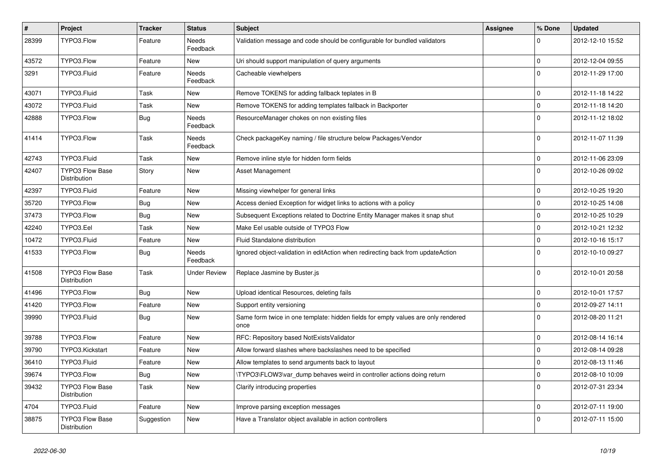| $\sharp$ | Project                                       | <b>Tracker</b> | <b>Status</b>            | <b>Subject</b>                                                                            | <b>Assignee</b> | % Done      | <b>Updated</b>   |
|----------|-----------------------------------------------|----------------|--------------------------|-------------------------------------------------------------------------------------------|-----------------|-------------|------------------|
| 28399    | TYPO3.Flow                                    | Feature        | <b>Needs</b><br>Feedback | Validation message and code should be configurable for bundled validators                 |                 | 0           | 2012-12-10 15:52 |
| 43572    | TYPO3.Flow                                    | Feature        | New                      | Uri should support manipulation of query arguments                                        |                 | $\mathbf 0$ | 2012-12-04 09:55 |
| 3291     | TYPO3.Fluid                                   | Feature        | Needs<br>Feedback        | Cacheable viewhelpers                                                                     |                 | $\Omega$    | 2012-11-29 17:00 |
| 43071    | TYPO3.Fluid                                   | Task           | <b>New</b>               | Remove TOKENS for adding fallback teplates in B                                           |                 | $\mathbf 0$ | 2012-11-18 14:22 |
| 43072    | TYPO3.Fluid                                   | Task           | New                      | Remove TOKENS for adding templates fallback in Backporter                                 |                 | $\Omega$    | 2012-11-18 14:20 |
| 42888    | TYPO3.Flow                                    | <b>Bug</b>     | Needs<br>Feedback        | ResourceManager chokes on non existing files                                              |                 | $\Omega$    | 2012-11-12 18:02 |
| 41414    | TYPO3.Flow                                    | Task           | Needs<br>Feedback        | Check packageKey naming / file structure below Packages/Vendor                            |                 | $\Omega$    | 2012-11-07 11:39 |
| 42743    | TYPO3.Fluid                                   | Task           | <b>New</b>               | Remove inline style for hidden form fields                                                |                 | $\mathbf 0$ | 2012-11-06 23:09 |
| 42407    | <b>TYPO3 Flow Base</b><br><b>Distribution</b> | Story          | New                      | Asset Management                                                                          |                 | $\Omega$    | 2012-10-26 09:02 |
| 42397    | TYPO3.Fluid                                   | Feature        | <b>New</b>               | Missing viewhelper for general links                                                      |                 | $\mathbf 0$ | 2012-10-25 19:20 |
| 35720    | TYPO3.Flow                                    | <b>Bug</b>     | <b>New</b>               | Access denied Exception for widget links to actions with a policy                         |                 | 0           | 2012-10-25 14:08 |
| 37473    | TYPO3.Flow                                    | <b>Bug</b>     | New                      | Subsequent Exceptions related to Doctrine Entity Manager makes it snap shut               |                 | $\mathbf 0$ | 2012-10-25 10:29 |
| 42240    | TYPO3.Eel                                     | Task           | <b>New</b>               | Make Eel usable outside of TYPO3 Flow                                                     |                 | $\Omega$    | 2012-10-21 12:32 |
| 10472    | TYPO3.Fluid                                   | Feature        | New                      | Fluid Standalone distribution                                                             |                 | $\Omega$    | 2012-10-16 15:17 |
| 41533    | TYPO3.Flow                                    | Bug            | <b>Needs</b><br>Feedback | Ignored object-validation in editAction when redirecting back from updateAction           |                 | $\Omega$    | 2012-10-10 09:27 |
| 41508    | <b>TYPO3 Flow Base</b><br>Distribution        | Task           | <b>Under Review</b>      | Replace Jasmine by Buster.js                                                              |                 | $\Omega$    | 2012-10-01 20:58 |
| 41496    | TYPO3.Flow                                    | Bug            | <b>New</b>               | Upload identical Resources, deleting fails                                                |                 | $\mathbf 0$ | 2012-10-01 17:57 |
| 41420    | TYPO3.Flow                                    | Feature        | New                      | Support entity versioning                                                                 |                 | $\mathbf 0$ | 2012-09-27 14:11 |
| 39990    | TYPO3.Fluid                                   | <b>Bug</b>     | <b>New</b>               | Same form twice in one template: hidden fields for empty values are only rendered<br>once |                 | $\Omega$    | 2012-08-20 11:21 |
| 39788    | TYPO3.Flow                                    | Feature        | New                      | RFC: Repository based NotExistsValidator                                                  |                 | 0           | 2012-08-14 16:14 |
| 39790    | TYPO3.Kickstart                               | Feature        | <b>New</b>               | Allow forward slashes where backslashes need to be specified                              |                 | $\Omega$    | 2012-08-14 09:28 |
| 36410    | TYPO3.Fluid                                   | Feature        | New                      | Allow templates to send arguments back to layout                                          |                 | $\mathbf 0$ | 2012-08-13 11:46 |
| 39674    | TYPO3.Flow                                    | Bug            | New                      | TYPO3\FLOW3\var dump behaves weird in controller actions doing return                     |                 | $\mathbf 0$ | 2012-08-10 10:09 |
| 39432    | <b>TYPO3 Flow Base</b><br>Distribution        | Task           | New                      | Clarify introducing properties                                                            |                 | $\Omega$    | 2012-07-31 23:34 |
| 4704     | TYPO3.Fluid                                   | Feature        | New                      | Improve parsing exception messages                                                        |                 | $\mathbf 0$ | 2012-07-11 19:00 |
| 38875    | TYPO3 Flow Base<br>Distribution               | Suggestion     | <b>New</b>               | Have a Translator object available in action controllers                                  |                 | $\Omega$    | 2012-07-11 15:00 |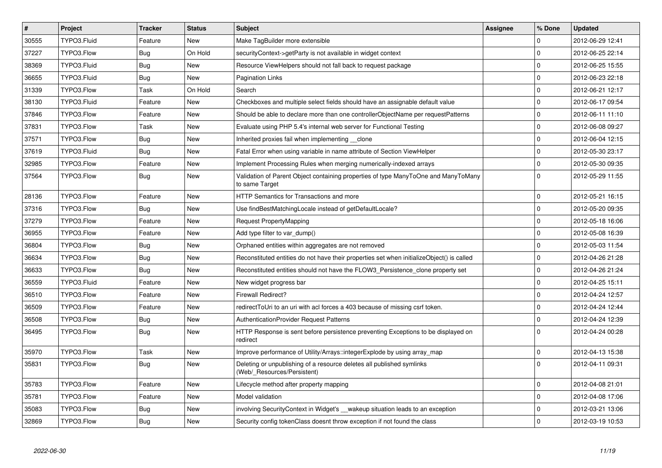| $\vert$ # | Project     | <b>Tracker</b> | <b>Status</b> | <b>Subject</b>                                                                                       | <b>Assignee</b> | % Done      | <b>Updated</b>   |
|-----------|-------------|----------------|---------------|------------------------------------------------------------------------------------------------------|-----------------|-------------|------------------|
| 30555     | TYPO3.Fluid | Feature        | New           | Make TagBuilder more extensible                                                                      |                 | $\Omega$    | 2012-06-29 12:41 |
| 37227     | TYPO3.Flow  | Bug            | On Hold       | securityContext->getParty is not available in widget context                                         |                 | 0           | 2012-06-25 22:14 |
| 38369     | TYPO3.Fluid | Bug            | <b>New</b>    | Resource ViewHelpers should not fall back to request package                                         |                 | 0           | 2012-06-25 15:55 |
| 36655     | TYPO3.Fluid | Bug            | <b>New</b>    | <b>Pagination Links</b>                                                                              |                 | $\mathbf 0$ | 2012-06-23 22:18 |
| 31339     | TYPO3.Flow  | Task           | On Hold       | Search                                                                                               |                 | $\mathbf 0$ | 2012-06-21 12:17 |
| 38130     | TYPO3.Fluid | Feature        | <b>New</b>    | Checkboxes and multiple select fields should have an assignable default value                        |                 | $\mathbf 0$ | 2012-06-17 09:54 |
| 37846     | TYPO3.Flow  | Feature        | New           | Should be able to declare more than one controllerObjectName per requestPatterns                     |                 | 0           | 2012-06-11 11:10 |
| 37831     | TYPO3.Flow  | Task           | <b>New</b>    | Evaluate using PHP 5.4's internal web server for Functional Testing                                  |                 | $\Omega$    | 2012-06-08 09:27 |
| 37571     | TYPO3.Flow  | Bug            | <b>New</b>    | Inherited proxies fail when implementing clone                                                       |                 | $\mathbf 0$ | 2012-06-04 12:15 |
| 37619     | TYPO3.Fluid | <b>Bug</b>     | <b>New</b>    | Fatal Error when using variable in name attribute of Section ViewHelper                              |                 | 0           | 2012-05-30 23:17 |
| 32985     | TYPO3.Flow  | Feature        | New           | Implement Processing Rules when merging numerically-indexed arrays                                   |                 | $\mathbf 0$ | 2012-05-30 09:35 |
| 37564     | TYPO3.Flow  | Bug            | New           | Validation of Parent Object containing properties of type ManyToOne and ManyToMany<br>to same Target |                 | 0           | 2012-05-29 11:55 |
| 28136     | TYPO3.Flow  | Feature        | New           | HTTP Semantics for Transactions and more                                                             |                 | $\mathbf 0$ | 2012-05-21 16:15 |
| 37316     | TYPO3.Flow  | <b>Bug</b>     | <b>New</b>    | Use findBestMatchingLocale instead of getDefaultLocale?                                              |                 | 0           | 2012-05-20 09:35 |
| 37279     | TYPO3.Flow  | Feature        | New           | Request PropertyMapping                                                                              |                 | 0           | 2012-05-18 16:06 |
| 36955     | TYPO3.Flow  | Feature        | <b>New</b>    | Add type filter to var_dump()                                                                        |                 | $\mathbf 0$ | 2012-05-08 16:39 |
| 36804     | TYPO3.Flow  | Bug            | New           | Orphaned entities within aggregates are not removed                                                  |                 | $\mathbf 0$ | 2012-05-03 11:54 |
| 36634     | TYPO3.Flow  | <b>Bug</b>     | <b>New</b>    | Reconstituted entities do not have their properties set when initializeObject() is called            |                 | 0           | 2012-04-26 21:28 |
| 36633     | TYPO3.Flow  | Bug            | <b>New</b>    | Reconstituted entities should not have the FLOW3 Persistence clone property set                      |                 | $\mathbf 0$ | 2012-04-26 21:24 |
| 36559     | TYPO3.Fluid | Feature        | <b>New</b>    | New widget progress bar                                                                              |                 | 0           | 2012-04-25 15:11 |
| 36510     | TYPO3.Flow  | Feature        | <b>New</b>    | <b>Firewall Redirect?</b>                                                                            |                 | $\mathbf 0$ | 2012-04-24 12:57 |
| 36509     | TYPO3.Flow  | Feature        | <b>New</b>    | redirectToUri to an uri with acl forces a 403 because of missing csrf token.                         |                 | 0           | 2012-04-24 12:44 |
| 36508     | TYPO3.Flow  | <b>Bug</b>     | <b>New</b>    | <b>AuthenticationProvider Request Patterns</b>                                                       |                 | $\mathbf 0$ | 2012-04-24 12:39 |
| 36495     | TYPO3.Flow  | Bug            | <b>New</b>    | HTTP Response is sent before persistence preventing Exceptions to be displayed on<br>redirect        |                 | $\Omega$    | 2012-04-24 00:28 |
| 35970     | TYPO3.Flow  | Task           | <b>New</b>    | Improve performance of Utility/Arrays::integerExplode by using array map                             |                 | $\mathbf 0$ | 2012-04-13 15:38 |
| 35831     | TYPO3.Flow  | <b>Bug</b>     | <b>New</b>    | Deleting or unpublishing of a resource deletes all published symlinks<br>(Web/ Resources/Persistent) |                 | $\Omega$    | 2012-04-11 09:31 |
| 35783     | TYPO3.Flow  | Feature        | <b>New</b>    | Lifecycle method after property mapping                                                              |                 | $\mathbf 0$ | 2012-04-08 21:01 |
| 35781     | TYPO3.Flow  | Feature        | <b>New</b>    | Model validation                                                                                     |                 | 0           | 2012-04-08 17:06 |
| 35083     | TYPO3.Flow  | Bug            | New           | involving SecurityContext in Widget's __ wakeup situation leads to an exception                      |                 | $\mathbf 0$ | 2012-03-21 13:06 |
| 32869     | TYPO3.Flow  | <b>Bug</b>     | <b>New</b>    | Security config tokenClass doesnt throw exception if not found the class                             |                 | $\Omega$    | 2012-03-19 10:53 |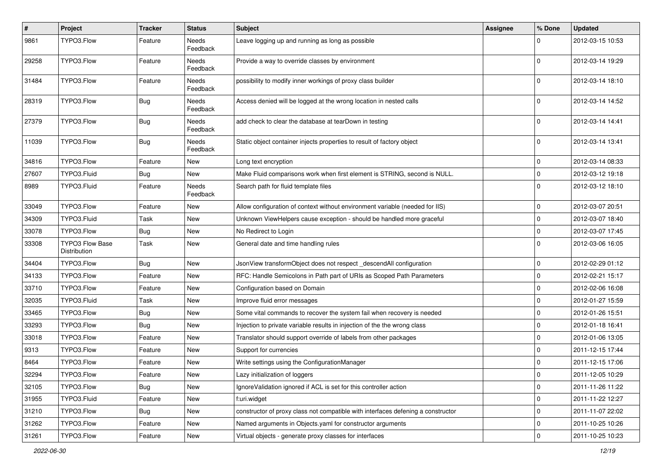| #     | Project                                | <b>Tracker</b> | <b>Status</b>     | Subject                                                                          | Assignee | % Done      | <b>Updated</b>   |
|-------|----------------------------------------|----------------|-------------------|----------------------------------------------------------------------------------|----------|-------------|------------------|
| 9861  | TYPO3.Flow                             | Feature        | Needs<br>Feedback | Leave logging up and running as long as possible                                 |          |             | 2012-03-15 10:53 |
| 29258 | TYPO3.Flow                             | Feature        | Needs<br>Feedback | Provide a way to override classes by environment                                 |          | $\Omega$    | 2012-03-14 19:29 |
| 31484 | TYPO3.Flow                             | Feature        | Needs<br>Feedback | possibility to modify inner workings of proxy class builder                      |          | $\Omega$    | 2012-03-14 18:10 |
| 28319 | TYPO3.Flow                             | Bug            | Needs<br>Feedback | Access denied will be logged at the wrong location in nested calls               |          | $\Omega$    | 2012-03-14 14:52 |
| 27379 | TYPO3.Flow                             | Bug            | Needs<br>Feedback | add check to clear the database at tearDown in testing                           |          | $\Omega$    | 2012-03-14 14:41 |
| 11039 | TYPO3.Flow                             | Bug            | Needs<br>Feedback | Static object container injects properties to result of factory object           |          | $\Omega$    | 2012-03-14 13:41 |
| 34816 | TYPO3.Flow                             | Feature        | New               | Long text encryption                                                             |          | 0           | 2012-03-14 08:33 |
| 27607 | TYPO3.Fluid                            | Bug            | New               | Make Fluid comparisons work when first element is STRING, second is NULL.        |          | $\mathbf 0$ | 2012-03-12 19:18 |
| 8989  | TYPO3.Fluid                            | Feature        | Needs<br>Feedback | Search path for fluid template files                                             |          | $\Omega$    | 2012-03-12 18:10 |
| 33049 | TYPO3.Flow                             | Feature        | New               | Allow configuration of context without environment variable (needed for IIS)     |          | $\mathbf 0$ | 2012-03-07 20:51 |
| 34309 | TYPO3.Fluid                            | Task           | New               | Unknown ViewHelpers cause exception - should be handled more graceful            |          | $\mathbf 0$ | 2012-03-07 18:40 |
| 33078 | TYPO3.Flow                             | Bug            | New               | No Redirect to Login                                                             |          | $\mathbf 0$ | 2012-03-07 17:45 |
| 33308 | <b>TYPO3 Flow Base</b><br>Distribution | Task           | New               | General date and time handling rules                                             |          | $\Omega$    | 2012-03-06 16:05 |
| 34404 | TYPO3.Flow                             | Bug            | New               | JsonView transformObject does not respect _descendAll configuration              |          | $\mathbf 0$ | 2012-02-29 01:12 |
| 34133 | TYPO3.Flow                             | Feature        | New               | RFC: Handle Semicolons in Path part of URIs as Scoped Path Parameters            |          | $\mathbf 0$ | 2012-02-21 15:17 |
| 33710 | TYPO3.Flow                             | Feature        | New               | Configuration based on Domain                                                    |          | $\mathbf 0$ | 2012-02-06 16:08 |
| 32035 | TYPO3.Fluid                            | Task           | New               | Improve fluid error messages                                                     |          | $\Omega$    | 2012-01-27 15:59 |
| 33465 | TYPO3.Flow                             | Bug            | New               | Some vital commands to recover the system fail when recovery is needed           |          | $\mathbf 0$ | 2012-01-26 15:51 |
| 33293 | TYPO3.Flow                             | Bug            | New               | Injection to private variable results in injection of the the wrong class        |          | $\mathbf 0$ | 2012-01-18 16:41 |
| 33018 | TYPO3.Flow                             | Feature        | New               | Translator should support override of labels from other packages                 |          | $\mathbf 0$ | 2012-01-06 13:05 |
| 9313  | TYPO3.Flow                             | Feature        | New               | Support for currencies                                                           |          | $\Omega$    | 2011-12-15 17:44 |
| 8464  | TYPO3.Flow                             | Feature        | New               | Write settings using the ConfigurationManager                                    |          | $\mathbf 0$ | 2011-12-15 17:06 |
| 32294 | TYPO3.Flow                             | Feature        | New               | Lazy initialization of loggers                                                   |          |             | 2011-12-05 10:29 |
| 32105 | TYPO3.Flow                             | Bug            | New               | Ignore Validation ignored if ACL is set for this controller action               |          | $\mathbf 0$ | 2011-11-26 11:22 |
| 31955 | TYPO3.Fluid                            | Feature        | New               | f:uri.widget                                                                     |          | $\mathbf 0$ | 2011-11-22 12:27 |
| 31210 | TYPO3.Flow                             | <b>Bug</b>     | New               | constructor of proxy class not compatible with interfaces defening a constructor |          | $\mathbf 0$ | 2011-11-07 22:02 |
| 31262 | TYPO3.Flow                             | Feature        | New               | Named arguments in Objects.yaml for constructor arguments                        |          | $\mathbf 0$ | 2011-10-25 10:26 |
| 31261 | TYPO3.Flow                             | Feature        | New               | Virtual objects - generate proxy classes for interfaces                          |          | $\mathbf 0$ | 2011-10-25 10:23 |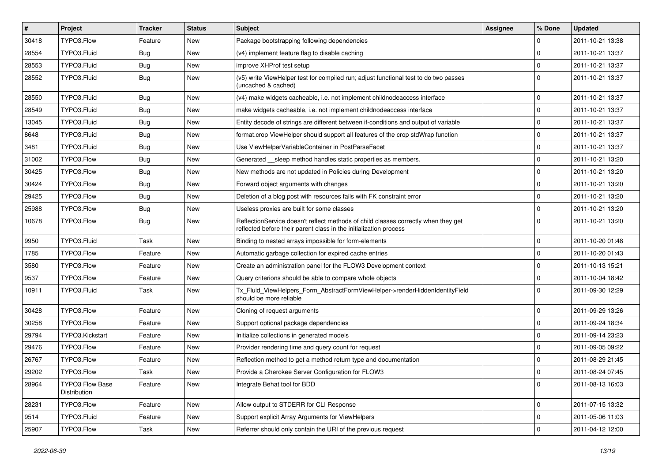| #     | <b>Project</b>                         | <b>Tracker</b> | <b>Status</b> | <b>Subject</b>                                                                                                                                          | Assignee | % Done      | <b>Updated</b>   |
|-------|----------------------------------------|----------------|---------------|---------------------------------------------------------------------------------------------------------------------------------------------------------|----------|-------------|------------------|
| 30418 | TYPO3.Flow                             | Feature        | New           | Package bootstrapping following dependencies                                                                                                            |          | 0           | 2011-10-21 13:38 |
| 28554 | TYPO3.Fluid                            | Bug            | New           | (v4) implement feature flag to disable caching                                                                                                          |          | 0           | 2011-10-21 13:37 |
| 28553 | TYPO3.Fluid                            | Bug            | New           | improve XHProf test setup                                                                                                                               |          | $\mathbf 0$ | 2011-10-21 13:37 |
| 28552 | TYPO3.Fluid                            | Bug            | New           | (v5) write ViewHelper test for compiled run; adjust functional test to do two passes<br>(uncached & cached)                                             |          | $\Omega$    | 2011-10-21 13:37 |
| 28550 | TYPO3.Fluid                            | Bug            | New           | (v4) make widgets cacheable, i.e. not implement childnodeaccess interface                                                                               |          | $\mathbf 0$ | 2011-10-21 13:37 |
| 28549 | TYPO3.Fluid                            | <b>Bug</b>     | New           | make widgets cacheable, i.e. not implement childnodeaccess interface                                                                                    |          | $\mathbf 0$ | 2011-10-21 13:37 |
| 13045 | TYPO3.Fluid                            | Bug            | New           | Entity decode of strings are different between if-conditions and output of variable                                                                     |          | $\mathbf 0$ | 2011-10-21 13:37 |
| 8648  | TYPO3.Fluid                            | Bug            | New           | format.crop ViewHelper should support all features of the crop stdWrap function                                                                         |          | $\mathbf 0$ | 2011-10-21 13:37 |
| 3481  | TYPO3.Fluid                            | <b>Bug</b>     | New           | Use ViewHelperVariableContainer in PostParseFacet                                                                                                       |          | 0           | 2011-10-21 13:37 |
| 31002 | TYPO3.Flow                             | Bug            | New           | Generated sleep method handles static properties as members.                                                                                            |          | $\mathbf 0$ | 2011-10-21 13:20 |
| 30425 | TYPO3.Flow                             | Bug            | New           | New methods are not updated in Policies during Development                                                                                              |          | $\mathbf 0$ | 2011-10-21 13:20 |
| 30424 | TYPO3.Flow                             | <b>Bug</b>     | New           | Forward object arguments with changes                                                                                                                   |          | 0           | 2011-10-21 13:20 |
| 29425 | TYPO3.Flow                             | Bug            | New           | Deletion of a blog post with resources fails with FK constraint error                                                                                   |          | $\mathbf 0$ | 2011-10-21 13:20 |
| 25988 | TYPO3.Flow                             | Bug            | New           | Useless proxies are built for some classes                                                                                                              |          | $\mathbf 0$ | 2011-10-21 13:20 |
| 10678 | TYPO3.Flow                             | <b>Bug</b>     | New           | ReflectionService doesn't reflect methods of child classes correctly when they get<br>reflected before their parent class in the initialization process |          | $\Omega$    | 2011-10-21 13:20 |
| 9950  | TYPO3.Fluid                            | Task           | <b>New</b>    | Binding to nested arrays impossible for form-elements                                                                                                   |          | $\mathbf 0$ | 2011-10-20 01:48 |
| 1785  | TYPO3.Flow                             | Feature        | New           | Automatic garbage collection for expired cache entries                                                                                                  |          | $\mathbf 0$ | 2011-10-20 01:43 |
| 3580  | TYPO3.Flow                             | Feature        | New           | Create an administration panel for the FLOW3 Development context                                                                                        |          | $\mathbf 0$ | 2011-10-13 15:21 |
| 9537  | TYPO3.Flow                             | Feature        | New           | Query criterions should be able to compare whole objects                                                                                                |          | 0           | 2011-10-04 18:42 |
| 10911 | TYPO3.Fluid                            | Task           | New           | Tx_Fluid_ViewHelpers_Form_AbstractFormViewHelper->renderHiddenIdentityField<br>should be more reliable                                                  |          | $\Omega$    | 2011-09-30 12:29 |
| 30428 | TYPO3.Flow                             | Feature        | New           | Cloning of request arguments                                                                                                                            |          | $\mathbf 0$ | 2011-09-29 13:26 |
| 30258 | TYPO3.Flow                             | Feature        | New           | Support optional package dependencies                                                                                                                   |          | $\mathbf 0$ | 2011-09-24 18:34 |
| 29794 | TYPO3.Kickstart                        | Feature        | New           | Initialize collections in generated models                                                                                                              |          | $\mathbf 0$ | 2011-09-14 23:23 |
| 29476 | TYPO3.Flow                             | Feature        | New           | Provider rendering time and query count for request                                                                                                     |          | $\mathbf 0$ | 2011-09-05 09:22 |
| 26767 | TYPO3.Flow                             | Feature        | New           | Reflection method to get a method return type and documentation                                                                                         |          | $\Omega$    | 2011-08-29 21:45 |
| 29202 | TYPO3.Flow                             | Task           | New           | Provide a Cherokee Server Configuration for FLOW3                                                                                                       |          | $\Omega$    | 2011-08-24 07:45 |
| 28964 | <b>TYPO3 Flow Base</b><br>Distribution | Feature        | New           | Integrate Behat tool for BDD                                                                                                                            |          | $\mathbf 0$ | 2011-08-13 16:03 |
| 28231 | TYPO3.Flow                             | Feature        | New           | Allow output to STDERR for CLI Response                                                                                                                 |          | $\mathbf 0$ | 2011-07-15 13:32 |
| 9514  | TYPO3.Fluid                            | Feature        | New           | Support explicit Array Arguments for ViewHelpers                                                                                                        |          | $\mathbf 0$ | 2011-05-06 11:03 |
| 25907 | TYPO3.Flow                             | Task           | New           | Referrer should only contain the URI of the previous request                                                                                            |          | $\mathbf 0$ | 2011-04-12 12:00 |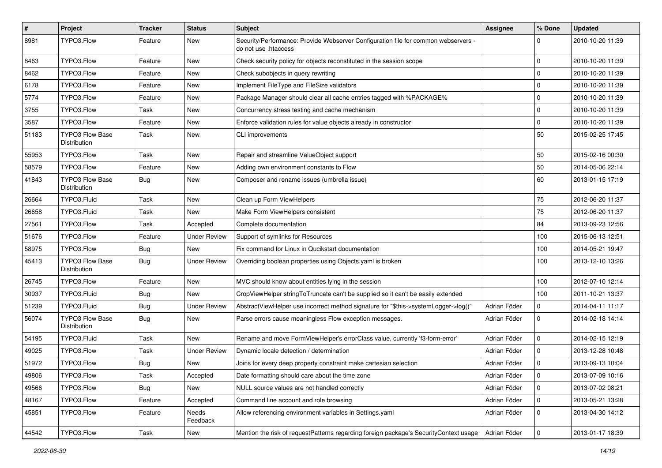| $\vert$ # | Project                                | <b>Tracker</b> | <b>Status</b>       | Subject                                                                                                    | Assignee     | % Done      | <b>Updated</b>   |
|-----------|----------------------------------------|----------------|---------------------|------------------------------------------------------------------------------------------------------------|--------------|-------------|------------------|
| 8981      | TYPO3.Flow                             | Feature        | New                 | Security/Performance: Provide Webserver Configuration file for common webservers -<br>do not use .htaccess |              | 0           | 2010-10-20 11:39 |
| 8463      | TYPO3.Flow                             | Feature        | New                 | Check security policy for objects reconstituted in the session scope                                       |              | $\mathbf 0$ | 2010-10-20 11:39 |
| 8462      | TYPO3.Flow                             | Feature        | New                 | Check subobjects in query rewriting                                                                        |              | 0           | 2010-10-20 11:39 |
| 6178      | TYPO3.Flow                             | Feature        | <b>New</b>          | Implement FileType and FileSize validators                                                                 |              | 0           | 2010-10-20 11:39 |
| 5774      | TYPO3.Flow                             | Feature        | New                 | Package Manager should clear all cache entries tagged with %PACKAGE%                                       |              | 0           | 2010-10-20 11:39 |
| 3755      | TYPO3.Flow                             | Task           | <b>New</b>          | Concurrency stress testing and cache mechanism                                                             |              | $\mathbf 0$ | 2010-10-20 11:39 |
| 3587      | TYPO3.Flow                             | Feature        | New                 | Enforce validation rules for value objects already in constructor                                          |              | 0           | 2010-10-20 11:39 |
| 51183     | <b>TYPO3 Flow Base</b><br>Distribution | Task           | <b>New</b>          | CLI improvements                                                                                           |              | 50          | 2015-02-25 17:45 |
| 55953     | TYPO3.Flow                             | Task           | New                 | Repair and streamline ValueObject support                                                                  |              | 50          | 2015-02-16 00:30 |
| 58579     | TYPO3.Flow                             | Feature        | New                 | Adding own environment constants to Flow                                                                   |              | 50          | 2014-05-06 22:14 |
| 41843     | <b>TYPO3 Flow Base</b><br>Distribution | Bug            | New                 | Composer and rename issues (umbrella issue)                                                                |              | 60          | 2013-01-15 17:19 |
| 26664     | TYPO3.Fluid                            | Task           | <b>New</b>          | Clean up Form ViewHelpers                                                                                  |              | 75          | 2012-06-20 11:37 |
| 26658     | TYPO3.Fluid                            | Task           | New                 | Make Form ViewHelpers consistent                                                                           |              | 75          | 2012-06-20 11:37 |
| 27561     | TYPO3.Flow                             | Task           | Accepted            | Complete documentation                                                                                     |              | 84          | 2013-09-23 12:56 |
| 51676     | TYPO3.Flow                             | Feature        | <b>Under Review</b> | Support of symlinks for Resources                                                                          |              | 100         | 2015-06-13 12:51 |
| 58975     | TYPO3.Flow                             | <b>Bug</b>     | New                 | Fix command for Linux in Qucikstart documentation                                                          |              | 100         | 2014-05-21 19:47 |
| 45413     | <b>TYPO3 Flow Base</b><br>Distribution | <b>Bug</b>     | <b>Under Review</b> | Overriding boolean properties using Objects yaml is broken                                                 |              | 100         | 2013-12-10 13:26 |
| 26745     | TYPO3.Flow                             | Feature        | New                 | MVC should know about entities lying in the session                                                        |              | 100         | 2012-07-10 12:14 |
| 30937     | TYPO3.Fluid                            | <b>Bug</b>     | <b>New</b>          | CropViewHelper stringToTruncate can't be supplied so it can't be easily extended                           |              | 100         | 2011-10-21 13:37 |
| 51239     | TYPO3.Fluid                            | Bug            | <b>Under Review</b> | AbstractViewHelper use incorrect method signature for "\$this->systemLogger->log()"                        | Adrian Föder | 0           | 2014-04-11 11:17 |
| 56074     | <b>TYPO3 Flow Base</b><br>Distribution | Bug            | New                 | Parse errors cause meaningless Flow exception messages.                                                    | Adrian Föder | 0           | 2014-02-18 14:14 |
| 54195     | TYPO3.Fluid                            | Task           | <b>New</b>          | Rename and move FormViewHelper's errorClass value, currently 'f3-form-error'                               | Adrian Föder | $\mathbf 0$ | 2014-02-15 12:19 |
| 49025     | TYPO3.Flow                             | Task           | <b>Under Review</b> | Dynamic locale detection / determination                                                                   | Adrian Föder | $\mathbf 0$ | 2013-12-28 10:48 |
| 51972     | TYPO3.Flow                             | <b>Bug</b>     | <b>New</b>          | Joins for every deep property constraint make cartesian selection                                          | Adrian Föder | 0           | 2013-09-13 10:04 |
| 49806     | TYPO3.Flow                             | Task           | Accepted            | Date formatting should care about the time zone                                                            | Adrian Föder | 0           | 2013-07-09 10:16 |
| 49566     | TYPO3.Flow                             | <b>Bug</b>     | New                 | NULL source values are not handled correctly                                                               | Adrian Föder | 0           | 2013-07-02 08:21 |
| 48167     | TYPO3.Flow                             | Feature        | Accepted            | Command line account and role browsing                                                                     | Adrian Föder | 0           | 2013-05-21 13:28 |
| 45851     | TYPO3.Flow                             | Feature        | Needs<br>Feedback   | Allow referencing environment variables in Settings.yaml                                                   | Adrian Föder | 0           | 2013-04-30 14:12 |
| 44542     | TYPO3.Flow                             | Task           | New                 | Mention the risk of requestPatterns regarding foreign package's SecurityContext usage                      | Adrian Föder | 0           | 2013-01-17 18:39 |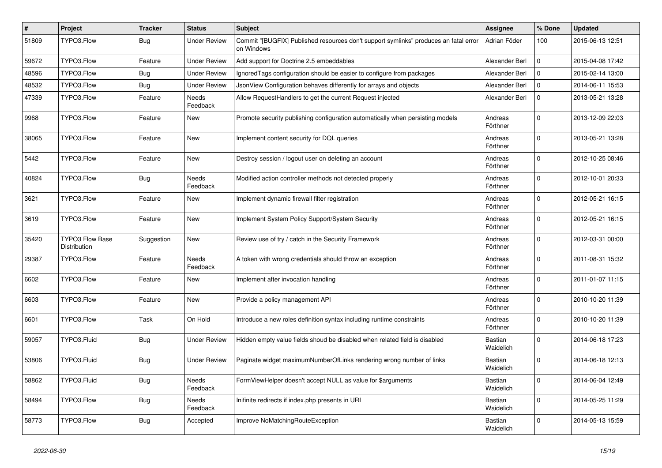| $\vert$ # | Project                         | <b>Tracker</b> | <b>Status</b>       | <b>Subject</b>                                                                                     | <b>Assignee</b>             | % Done      | <b>Updated</b>   |
|-----------|---------------------------------|----------------|---------------------|----------------------------------------------------------------------------------------------------|-----------------------------|-------------|------------------|
| 51809     | TYPO3.Flow                      | <b>Bug</b>     | Under Review        | Commit "[BUGFIX] Published resources don't support symlinks" produces an fatal error<br>on Windows | Adrian Föder                | 100         | 2015-06-13 12:51 |
| 59672     | TYPO3.Flow                      | Feature        | <b>Under Review</b> | Add support for Doctrine 2.5 embeddables                                                           | Alexander Berl              | 0           | 2015-04-08 17:42 |
| 48596     | TYPO3.Flow                      | Bug            | <b>Under Review</b> | Ignored Tags configuration should be easier to configure from packages                             | Alexander Berl              | $\mathbf 0$ | 2015-02-14 13:00 |
| 48532     | TYPO3.Flow                      | Bug            | <b>Under Review</b> | JsonView Configuration behaves differently for arrays and objects                                  | Alexander Berl              | 0           | 2014-06-11 15:53 |
| 47339     | TYPO3.Flow                      | Feature        | Needs<br>Feedback   | Allow RequestHandlers to get the current Request injected                                          | Alexander Berl              | $\mathbf 0$ | 2013-05-21 13:28 |
| 9968      | TYPO3.Flow                      | Feature        | New                 | Promote security publishing configuration automatically when persisting models                     | Andreas<br>Förthner         | $\mathbf 0$ | 2013-12-09 22:03 |
| 38065     | TYPO3.Flow                      | Feature        | New                 | Implement content security for DQL queries                                                         | Andreas<br>Förthner         | $\mathbf 0$ | 2013-05-21 13:28 |
| 5442      | TYPO3.Flow                      | Feature        | New                 | Destroy session / logout user on deleting an account                                               | Andreas<br>Förthner         | $\mathbf 0$ | 2012-10-25 08:46 |
| 40824     | TYPO3.Flow                      | <b>Bug</b>     | Needs<br>Feedback   | Modified action controller methods not detected properly                                           | Andreas<br>Förthner         | $\mathbf 0$ | 2012-10-01 20:33 |
| 3621      | TYPO3.Flow                      | Feature        | New                 | Implement dynamic firewall filter registration                                                     | Andreas<br>Förthner         | $\mathbf 0$ | 2012-05-21 16:15 |
| 3619      | TYPO3.Flow                      | Feature        | New                 | Implement System Policy Support/System Security                                                    | Andreas<br>Förthner         | $\mathbf 0$ | 2012-05-21 16:15 |
| 35420     | TYPO3 Flow Base<br>Distribution | Suggestion     | New                 | Review use of try / catch in the Security Framework                                                | Andreas<br>Förthner         | $\mathbf 0$ | 2012-03-31 00:00 |
| 29387     | TYPO3.Flow                      | Feature        | Needs<br>Feedback   | A token with wrong credentials should throw an exception                                           | Andreas<br>Förthner         | 0           | 2011-08-31 15:32 |
| 6602      | TYPO3.Flow                      | Feature        | New                 | Implement after invocation handling                                                                | Andreas<br>Förthner         | $\mathbf 0$ | 2011-01-07 11:15 |
| 6603      | TYPO3.Flow                      | Feature        | New                 | Provide a policy management API                                                                    | Andreas<br>Förthner         | $\Omega$    | 2010-10-20 11:39 |
| 6601      | TYPO3.Flow                      | Task           | On Hold             | Introduce a new roles definition syntax including runtime constraints                              | Andreas<br>Förthner         | 0           | 2010-10-20 11:39 |
| 59057     | TYPO3.Fluid                     | Bug            | <b>Under Review</b> | Hidden empty value fields shoud be disabled when related field is disabled                         | <b>Bastian</b><br>Waidelich | $\Omega$    | 2014-06-18 17:23 |
| 53806     | TYPO3.Fluid                     | <b>Bug</b>     | <b>Under Review</b> | Paginate widget maximumNumberOfLinks rendering wrong number of links                               | Bastian<br>Waidelich        | $\mathbf 0$ | 2014-06-18 12:13 |
| 58862     | TYPO3.Fluid                     | Bug            | Needs<br>Feedback   | FormViewHelper doesn't accept NULL as value for \$arguments                                        | Bastian<br>Waidelich        | $\mathbf 0$ | 2014-06-04 12:49 |
| 58494     | TYPO3.Flow                      | <b>Bug</b>     | Needs<br>Feedback   | Inifinite redirects if index.php presents in URI                                                   | Bastian<br>Waidelich        | $\mathbf 0$ | 2014-05-25 11:29 |
| 58773     | TYPO3.Flow                      | <b>Bug</b>     | Accepted            | Improve NoMatchingRouteException                                                                   | <b>Bastian</b><br>Waidelich | $\mathbf 0$ | 2014-05-13 15:59 |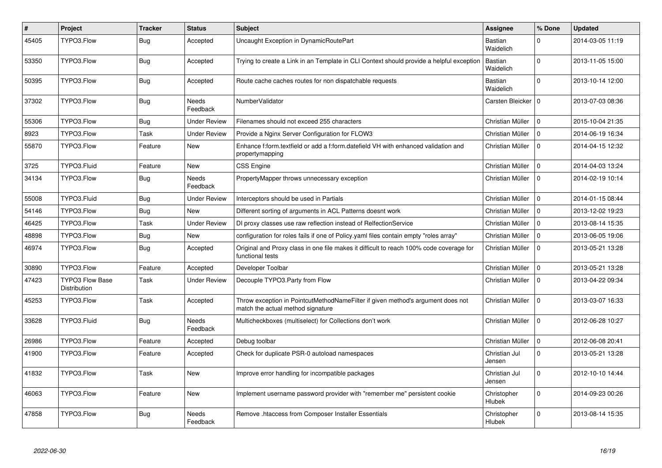| #     | <b>Project</b>                         | <b>Tracker</b> | <b>Status</b>            | <b>Subject</b>                                                                                                       | Assignee                | % Done      | <b>Updated</b>   |
|-------|----------------------------------------|----------------|--------------------------|----------------------------------------------------------------------------------------------------------------------|-------------------------|-------------|------------------|
| 45405 | TYPO3.Flow                             | Bug            | Accepted                 | Uncaught Exception in DynamicRoutePart                                                                               | Bastian<br>Waidelich    | 0           | 2014-03-05 11:19 |
| 53350 | TYPO3.Flow                             | <b>Bug</b>     | Accepted                 | Trying to create a Link in an Template in CLI Context should provide a helpful exception                             | Bastian<br>Waidelich    | $\Omega$    | 2013-11-05 15:00 |
| 50395 | TYPO3.Flow                             | <b>Bug</b>     | Accepted                 | Route cache caches routes for non dispatchable requests                                                              | Bastian<br>Waidelich    | $\Omega$    | 2013-10-14 12:00 |
| 37302 | TYPO3.Flow                             | <b>Bug</b>     | Needs<br>Feedback        | NumberValidator                                                                                                      | Carsten Bleicker   0    |             | 2013-07-03 08:36 |
| 55306 | TYPO3.Flow                             | <b>Bug</b>     | <b>Under Review</b>      | Filenames should not exceed 255 characters                                                                           | Christian Müller        | $\Omega$    | 2015-10-04 21:35 |
| 8923  | TYPO3.Flow                             | Task           | <b>Under Review</b>      | Provide a Nginx Server Configuration for FLOW3                                                                       | Christian Müller        | $\Omega$    | 2014-06-19 16:34 |
| 55870 | TYPO3.Flow                             | Feature        | <b>New</b>               | Enhance f:form.textfield or add a f:form.datefield VH with enhanced validation and<br>propertymapping                | Christian Müller        | $\Omega$    | 2014-04-15 12:32 |
| 3725  | TYPO3.Fluid                            | Feature        | <b>New</b>               | <b>CSS Engine</b>                                                                                                    | Christian Müller        | $\Omega$    | 2014-04-03 13:24 |
| 34134 | TYPO3.Flow                             | <b>Bug</b>     | <b>Needs</b><br>Feedback | PropertyMapper throws unnecessary exception                                                                          | Christian Müller        | $\Omega$    | 2014-02-19 10:14 |
| 55008 | TYPO3.Fluid                            | Bug            | <b>Under Review</b>      | Interceptors should be used in Partials                                                                              | Christian Müller        | $\Omega$    | 2014-01-15 08:44 |
| 54146 | TYPO3.Flow                             | <b>Bug</b>     | <b>New</b>               | Different sorting of arguments in ACL Patterns doesnt work                                                           | Christian Müller        | $\Omega$    | 2013-12-02 19:23 |
| 46425 | TYPO3.Flow                             | Task           | <b>Under Review</b>      | DI proxy classes use raw reflection instead of RelfectionService                                                     | Christian Müller        | $\Omega$    | 2013-08-14 15:35 |
| 48898 | TYPO3.Flow                             | <b>Bug</b>     | <b>New</b>               | configuration for roles fails if one of Policy yaml files contain empty "roles array"                                | Christian Müller        | $\Omega$    | 2013-06-05 19:06 |
| 46974 | TYPO3.Flow                             | Bug            | Accepted                 | Original and Proxy class in one file makes it difficult to reach 100% code coverage for<br>functional tests          | Christian Müller        | $\Omega$    | 2013-05-21 13:28 |
| 30890 | TYPO3.Flow                             | Feature        | Accepted                 | Developer Toolbar                                                                                                    | Christian Müller        | $\mathbf 0$ | 2013-05-21 13:28 |
| 47423 | <b>TYPO3 Flow Base</b><br>Distribution | Task           | Under Review             | Decouple TYPO3.Party from Flow                                                                                       | Christian Müller        | $\Omega$    | 2013-04-22 09:34 |
| 45253 | TYPO3.Flow                             | Task           | Accepted                 | Throw exception in PointcutMethodNameFilter if given method's argument does not<br>match the actual method signature | Christian Müller        | $\Omega$    | 2013-03-07 16:33 |
| 33628 | TYPO3.Fluid                            | Bug            | Needs<br>Feedback        | Multicheckboxes (multiselect) for Collections don't work                                                             | Christian Müller        | $\Omega$    | 2012-06-28 10:27 |
| 26986 | TYPO3.Flow                             | Feature        | Accepted                 | Debug toolbar                                                                                                        | Christian Müller        | $\mathbf 0$ | 2012-06-08 20:41 |
| 41900 | TYPO3.Flow                             | Feature        | Accepted                 | Check for duplicate PSR-0 autoload namespaces                                                                        | Christian Jul<br>Jensen | $\Omega$    | 2013-05-21 13:28 |
| 41832 | TYPO3.Flow                             | Task           | New                      | Improve error handling for incompatible packages                                                                     | Christian Jul<br>Jensen | $\mathbf 0$ | 2012-10-10 14:44 |
| 46063 | TYPO3.Flow                             | Feature        | New                      | Implement username password provider with "remember me" persistent cookie                                            | Christopher<br>Hlubek   | $\mathbf 0$ | 2014-09-23 00:26 |
| 47858 | TYPO3.Flow                             | Bug            | Needs<br>Feedback        | Remove .htaccess from Composer Installer Essentials                                                                  | Christopher<br>Hlubek   | $\Omega$    | 2013-08-14 15:35 |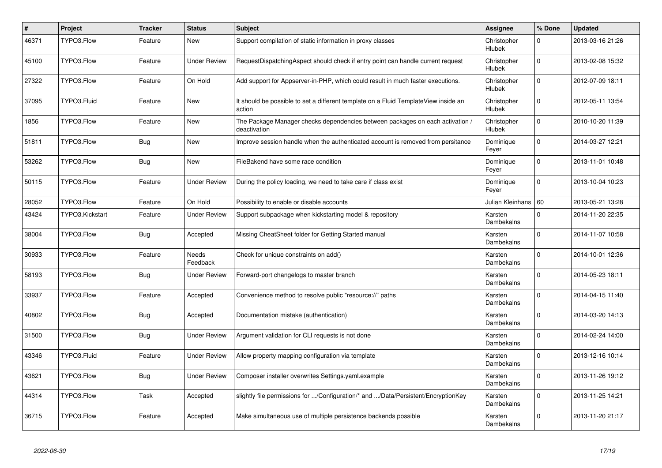| #     | Project         | <b>Tracker</b> | <b>Status</b>     | <b>Subject</b>                                                                                | Assignee              | % Done      | <b>Updated</b>   |
|-------|-----------------|----------------|-------------------|-----------------------------------------------------------------------------------------------|-----------------------|-------------|------------------|
| 46371 | TYPO3.Flow      | Feature        | New               | Support compilation of static information in proxy classes                                    | Christopher<br>Hlubek | 0           | 2013-03-16 21:26 |
| 45100 | TYPO3.Flow      | Feature        | Under Review      | RequestDispatchingAspect should check if entry point can handle current request               | Christopher<br>Hlubek | $\Omega$    | 2013-02-08 15:32 |
| 27322 | TYPO3.Flow      | Feature        | On Hold           | Add support for Appserver-in-PHP, which could result in much faster executions.               | Christopher<br>Hlubek | $\Omega$    | 2012-07-09 18:11 |
| 37095 | TYPO3.Fluid     | Feature        | <b>New</b>        | It should be possible to set a different template on a Fluid TemplateView inside an<br>action | Christopher<br>Hlubek | $\mathbf 0$ | 2012-05-11 13:54 |
| 1856  | TYPO3.Flow      | Feature        | <b>New</b>        | The Package Manager checks dependencies between packages on each activation /<br>deactivation | Christopher<br>Hlubek | $\Omega$    | 2010-10-20 11:39 |
| 51811 | TYPO3.Flow      | <b>Bug</b>     | New               | Improve session handle when the authenticated account is removed from persitance              | Dominique<br>Feyer    | $\mathbf 0$ | 2014-03-27 12:21 |
| 53262 | TYPO3.Flow      | Bug            | <b>New</b>        | FileBakend have some race condition                                                           | Dominique<br>Feyer    | $\Omega$    | 2013-11-01 10:48 |
| 50115 | TYPO3.Flow      | Feature        | Under Review      | During the policy loading, we need to take care if class exist                                | Dominique<br>Feyer    | $\Omega$    | 2013-10-04 10:23 |
| 28052 | TYPO3.Flow      | Feature        | On Hold           | Possibility to enable or disable accounts                                                     | Julian Kleinhans   60 |             | 2013-05-21 13:28 |
| 43424 | TYPO3.Kickstart | Feature        | Under Review      | Support subpackage when kickstarting model & repository                                       | Karsten<br>Dambekalns | $\Omega$    | 2014-11-20 22:35 |
| 38004 | TYPO3.Flow      | Bug            | Accepted          | Missing CheatSheet folder for Getting Started manual                                          | Karsten<br>Dambekalns | 0           | 2014-11-07 10:58 |
| 30933 | TYPO3.Flow      | Feature        | Needs<br>Feedback | Check for unique constraints on add()                                                         | Karsten<br>Dambekalns | $\Omega$    | 2014-10-01 12:36 |
| 58193 | TYPO3.Flow      | <b>Bug</b>     | Under Review      | Forward-port changelogs to master branch                                                      | Karsten<br>Dambekalns | $\Omega$    | 2014-05-23 18:11 |
| 33937 | TYPO3.Flow      | Feature        | Accepted          | Convenience method to resolve public "resource://" paths                                      | Karsten<br>Dambekalns | $\Omega$    | 2014-04-15 11:40 |
| 40802 | TYPO3.Flow      | <b>Bug</b>     | Accepted          | Documentation mistake (authentication)                                                        | Karsten<br>Dambekalns | $\Omega$    | 2014-03-20 14:13 |
| 31500 | TYPO3.Flow      | <b>Bug</b>     | Under Review      | Argument validation for CLI requests is not done                                              | Karsten<br>Dambekalns | $\Omega$    | 2014-02-24 14:00 |
| 43346 | TYPO3.Fluid     | Feature        | Under Review      | Allow property mapping configuration via template                                             | Karsten<br>Dambekalns | $\Omega$    | 2013-12-16 10:14 |
| 43621 | TYPO3.Flow      | <b>Bug</b>     | Under Review      | Composer installer overwrites Settings.yaml.example                                           | Karsten<br>Dambekalns | $\Omega$    | 2013-11-26 19:12 |
| 44314 | TYPO3.Flow      | Task           | Accepted          | slightly file permissions for /Configuration/* and /Data/Persistent/EncryptionKey             | Karsten<br>Dambekalns | $\Omega$    | 2013-11-25 14:21 |
| 36715 | TYPO3.Flow      | Feature        | Accepted          | Make simultaneous use of multiple persistence backends possible                               | Karsten<br>Dambekalns | $\mathbf 0$ | 2013-11-20 21:17 |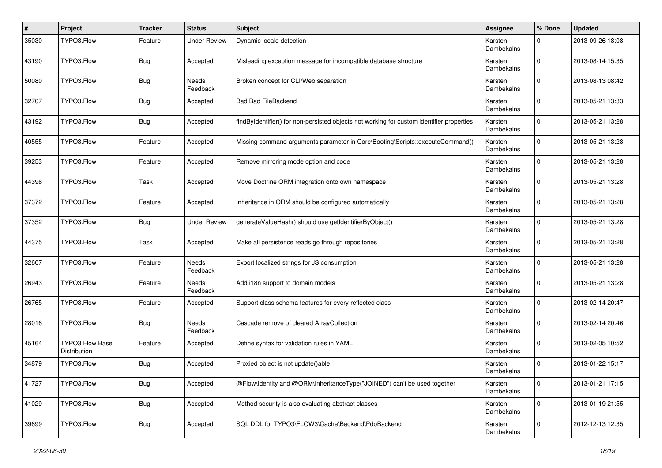| #     | Project                                | <b>Tracker</b> | <b>Status</b>       | Subject                                                                                   | <b>Assignee</b>       | % Done       | <b>Updated</b>   |
|-------|----------------------------------------|----------------|---------------------|-------------------------------------------------------------------------------------------|-----------------------|--------------|------------------|
| 35030 | TYPO3.Flow                             | Feature        | <b>Under Review</b> | Dynamic locale detection                                                                  | Karsten<br>Dambekalns | 0            | 2013-09-26 18:08 |
| 43190 | TYPO3.Flow                             | Bug            | Accepted            | Misleading exception message for incompatible database structure                          | Karsten<br>Dambekalns | $\mathbf 0$  | 2013-08-14 15:35 |
| 50080 | TYPO3.Flow                             | <b>Bug</b>     | Needs<br>Feedback   | Broken concept for CLI/Web separation                                                     | Karsten<br>Dambekalns | $\mathbf 0$  | 2013-08-13 08:42 |
| 32707 | TYPO3.Flow                             | <b>Bug</b>     | Accepted            | <b>Bad Bad FileBackend</b>                                                                | Karsten<br>Dambekalns | $\mathbf 0$  | 2013-05-21 13:33 |
| 43192 | TYPO3.Flow                             | <b>Bug</b>     | Accepted            | findByIdentifier() for non-persisted objects not working for custom identifier properties | Karsten<br>Dambekalns | $\mathbf 0$  | 2013-05-21 13:28 |
| 40555 | TYPO3.Flow                             | Feature        | Accepted            | Missing command arguments parameter in Core\Booting\Scripts::executeCommand()             | Karsten<br>Dambekalns | $\mathbf 0$  | 2013-05-21 13:28 |
| 39253 | TYPO3.Flow                             | Feature        | Accepted            | Remove mirroring mode option and code                                                     | Karsten<br>Dambekalns | $\mathbf 0$  | 2013-05-21 13:28 |
| 44396 | TYPO3.Flow                             | Task           | Accepted            | Move Doctrine ORM integration onto own namespace                                          | Karsten<br>Dambekalns | $\mathbf 0$  | 2013-05-21 13:28 |
| 37372 | TYPO3.Flow                             | Feature        | Accepted            | Inheritance in ORM should be configured automatically                                     | Karsten<br>Dambekalns | $\mathbf 0$  | 2013-05-21 13:28 |
| 37352 | TYPO3.Flow                             | <b>Bug</b>     | <b>Under Review</b> | generateValueHash() should use getIdentifierByObject()                                    | Karsten<br>Dambekalns | $\mathbf 0$  | 2013-05-21 13:28 |
| 44375 | TYPO3.Flow                             | Task           | Accepted            | Make all persistence reads go through repositories                                        | Karsten<br>Dambekalns | $\mathbf 0$  | 2013-05-21 13:28 |
| 32607 | TYPO3.Flow                             | Feature        | Needs<br>Feedback   | Export localized strings for JS consumption                                               | Karsten<br>Dambekalns | $\Omega$     | 2013-05-21 13:28 |
| 26943 | TYPO3.Flow                             | Feature        | Needs<br>Feedback   | Add i18n support to domain models                                                         | Karsten<br>Dambekalns | 0            | 2013-05-21 13:28 |
| 26765 | TYPO3.Flow                             | Feature        | Accepted            | Support class schema features for every reflected class                                   | Karsten<br>Dambekalns | $\Omega$     | 2013-02-14 20:47 |
| 28016 | TYPO3.Flow                             | Bug            | Needs<br>Feedback   | Cascade remove of cleared ArrayCollection                                                 | Karsten<br>Dambekalns | $\mathbf 0$  | 2013-02-14 20:46 |
| 45164 | <b>TYPO3 Flow Base</b><br>Distribution | Feature        | Accepted            | Define syntax for validation rules in YAML                                                | Karsten<br>Dambekalns | $\mathbf 0$  | 2013-02-05 10:52 |
| 34879 | TYPO3.Flow                             | <b>Bug</b>     | Accepted            | Proxied object is not update()able                                                        | Karsten<br>Dambekalns | $\mathbf 0$  | 2013-01-22 15:17 |
| 41727 | TYPO3.Flow                             | <b>Bug</b>     | Accepted            | @Flow\Identity and @ORM\InheritanceType("JOINED") can't be used together                  | Karsten<br>Dambekalns | $\mathbf 0$  | 2013-01-21 17:15 |
| 41029 | TYPO3.Flow                             | <b>Bug</b>     | Accepted            | Method security is also evaluating abstract classes                                       | Karsten<br>Dambekalns | $\mathbf{0}$ | 2013-01-19 21:55 |
| 39699 | TYPO3.Flow                             | <b>Bug</b>     | Accepted            | SQL DDL for TYPO3\FLOW3\Cache\Backend\PdoBackend                                          | Karsten<br>Dambekalns | $\mathbf 0$  | 2012-12-13 12:35 |